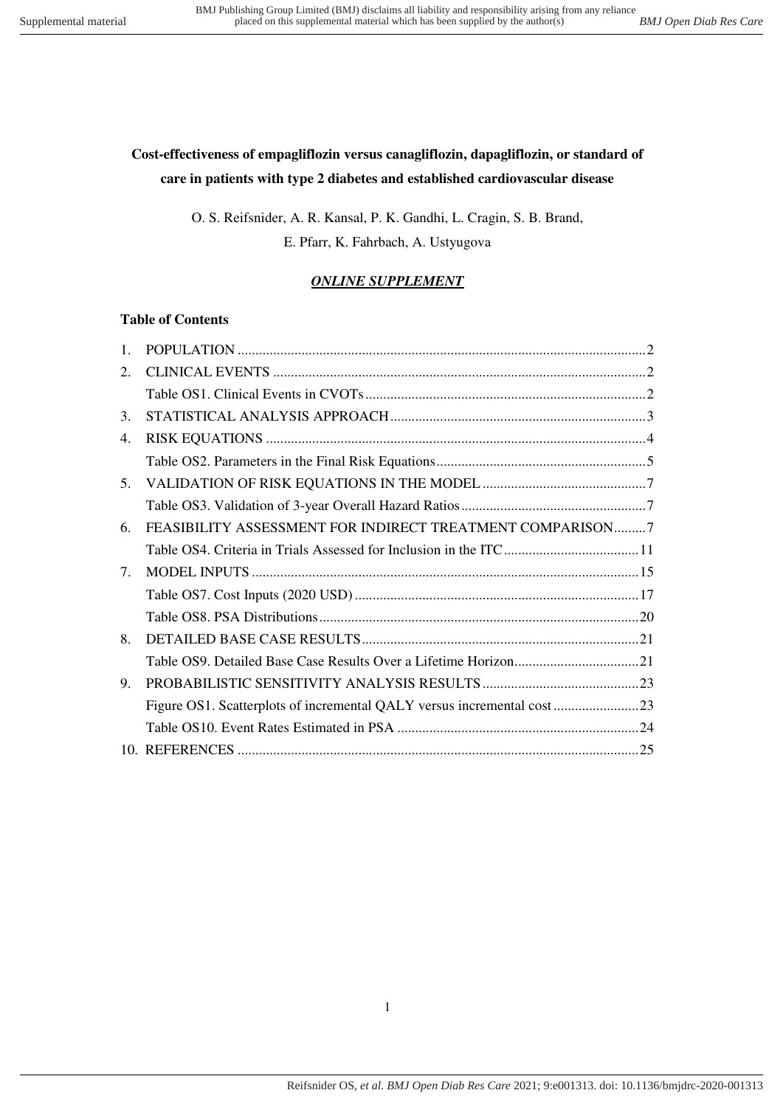# **Cost-effectiveness of empagliflozin versus canagliflozin, dapagliflozin, or standard of care in patients with type 2 diabetes and established cardiovascular disease**

O. S. Reifsnider, A. R. Kansal, P. K. Gandhi, L. Cragin, S. B. Brand, E. Pfarr, K. Fahrbach, A. Ustyugova

# *ONLINE SUPPLEMENT*

## **Table of Contents**

| $\mathbf{1}$ .                  |                                                           |
|---------------------------------|-----------------------------------------------------------|
| 2.                              |                                                           |
|                                 |                                                           |
| 3.                              |                                                           |
| 4.                              |                                                           |
|                                 |                                                           |
| 5.                              |                                                           |
|                                 |                                                           |
| 6.                              | FEASIBILITY ASSESSMENT FOR INDIRECT TREATMENT COMPARISON7 |
|                                 |                                                           |
| $7_{\scriptscriptstyle{\circ}}$ |                                                           |
|                                 |                                                           |
|                                 |                                                           |
| 8.                              |                                                           |
|                                 |                                                           |
| 9.                              |                                                           |
|                                 |                                                           |
|                                 |                                                           |
|                                 |                                                           |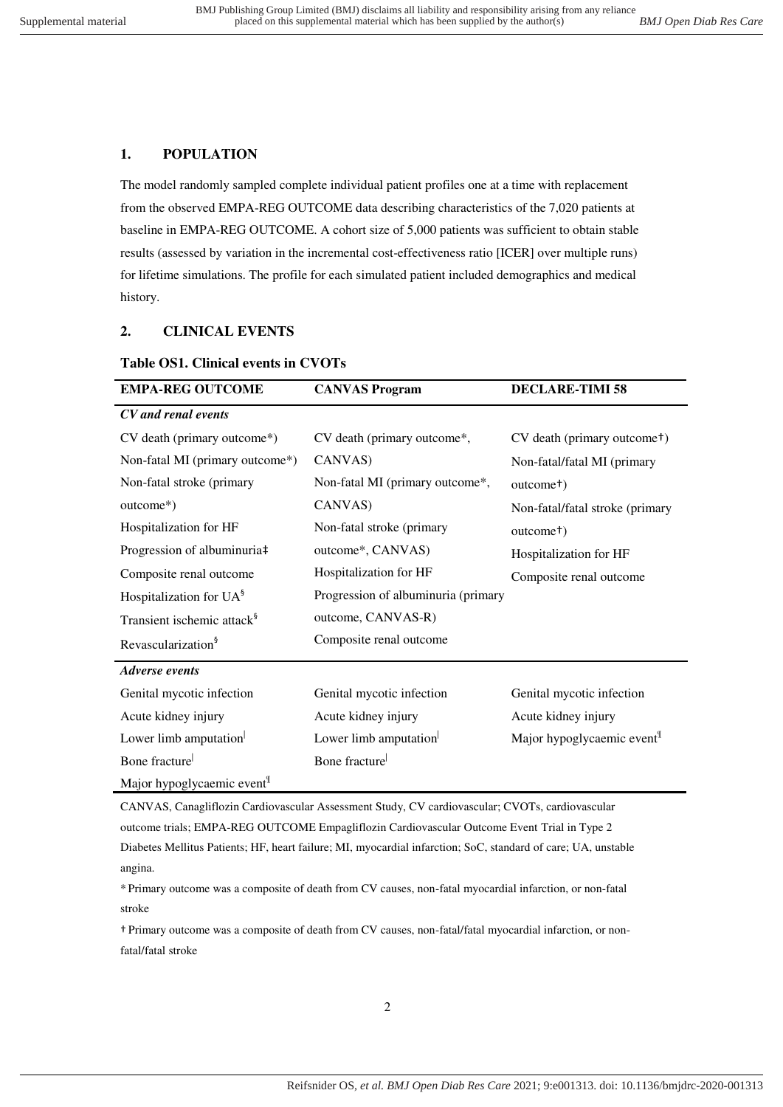## <span id="page-1-0"></span>**1. POPULATION**

The model randomly sampled complete individual patient profiles one at a time with replacement from the observed EMPA-REG OUTCOME data describing characteristics of the 7,020 patients at baseline in EMPA-REG OUTCOME. A cohort size of 5,000 patients was sufficient to obtain stable results (assessed by variation in the incremental cost-effectiveness ratio [ICER] over multiple runs) for lifetime simulations. The profile for each simulated patient included demographics and medical history.

## <span id="page-1-2"></span><span id="page-1-1"></span>**2. CLINICAL EVENTS**

### **Table OS1. Clinical events in CVOTs**

| <b>EMPA-REG OUTCOME</b>                | <b>CANVAS Program</b>               | <b>DECLARE-TIMI 58</b>                   |
|----------------------------------------|-------------------------------------|------------------------------------------|
| CV and renal events                    |                                     |                                          |
| CV death (primary outcome*)            | CV death (primary outcome*,         | CV death (primary outcome <sup>+</sup> ) |
| Non-fatal MI (primary outcome*)        | CANVAS)                             | Non-fatal/fatal MI (primary              |
| Non-fatal stroke (primary              | Non-fatal MI (primary outcome*,     | outcome <sup>†</sup> )                   |
| outcome*)                              | CANVAS)                             | Non-fatal/fatal stroke (primary          |
| Hospitalization for HF                 | Non-fatal stroke (primary           | outcome <sup>†</sup> )                   |
| Progression of albuminuria‡            | outcome*, CANVAS)                   | Hospitalization for HF                   |
| Composite renal outcome                | Hospitalization for HF              | Composite renal outcome                  |
| Hospitalization for $UA^{\S}$          | Progression of albuminuria (primary |                                          |
| Transient ischemic attack <sup>§</sup> | outcome, CANVAS-R)                  |                                          |
| Revascularization <sup>§</sup>         | Composite renal outcome             |                                          |
| <b>Adverse</b> events                  |                                     |                                          |
| Genital mycotic infection              | Genital mycotic infection           | Genital mycotic infection                |
| Acute kidney injury                    | Acute kidney injury                 | Acute kidney injury                      |
| Lower limb amputation                  | Lower limb amputation               | Major hypoglycaemic event <sup>1</sup>   |
| Bone fracture                          | Bone fracture                       |                                          |
| Major hypoglycaemic event <sup>1</sup> |                                     |                                          |

CANVAS, Canagliflozin Cardiovascular Assessment Study, CV cardiovascular; CVOTs, cardiovascular outcome trials; EMPA-REG OUTCOME Empagliflozin Cardiovascular Outcome Event Trial in Type 2 Diabetes Mellitus Patients; HF, heart failure; MI, myocardial infarction; SoC, standard of care; UA, unstable angina.

\* Primary outcome was a composite of death from CV causes, non-fatal myocardial infarction, or non-fatal stroke

† Primary outcome was a composite of death from CV causes, non-fatal/fatal myocardial infarction, or nonfatal/fatal stroke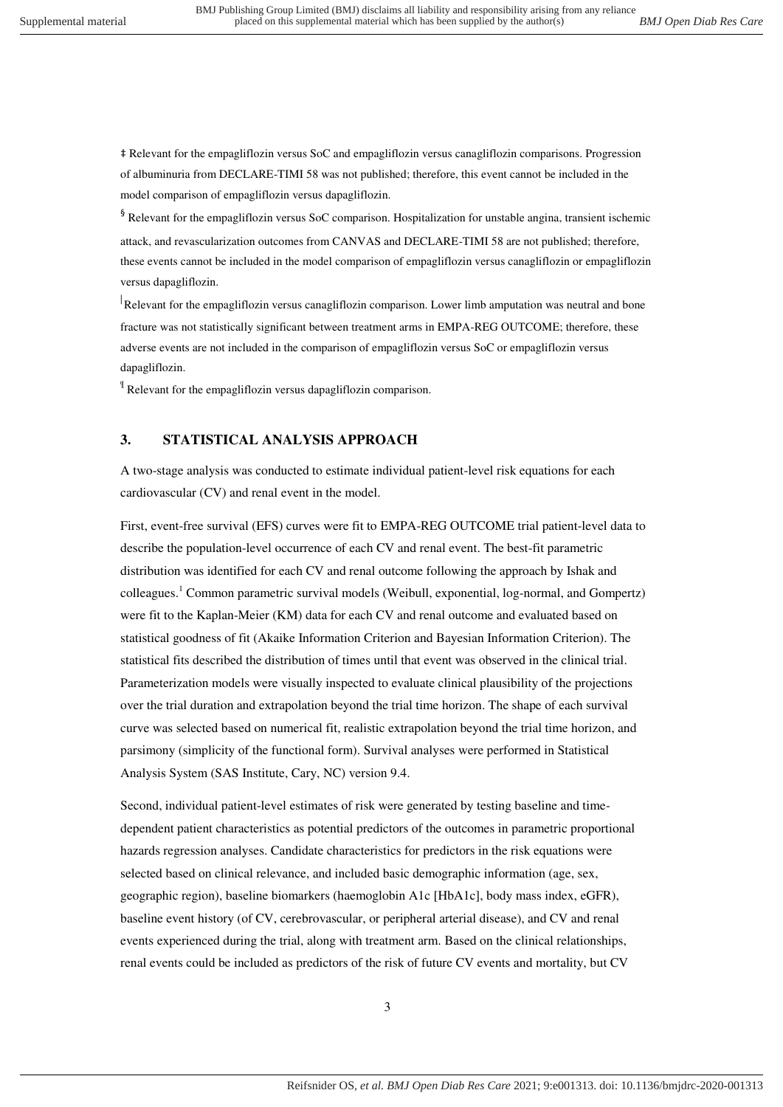‡ Relevant for the empagliflozin versus SoC and empagliflozin versus canagliflozin comparisons. Progression of albuminuria from DECLARE-TIMI 58 was not published; therefore, this event cannot be included in the model comparison of empagliflozin versus dapagliflozin.

§ Relevant for the empagliflozin versus SoC comparison. Hospitalization for unstable angina, transient ischemic attack, and revascularization outcomes from CANVAS and DECLARE-TIMI 58 are not published; therefore, these events cannot be included in the model comparison of empagliflozin versus canagliflozin or empagliflozin versus dapagliflozin.

Relevant for the empagliflozin versus canagliflozin comparison. Lower limb amputation was neutral and bone fracture was not statistically significant between treatment arms in EMPA-REG OUTCOME; therefore, these adverse events are not included in the comparison of empagliflozin versus SoC or empagliflozin versus dapagliflozin.

¶ Relevant for the empagliflozin versus dapagliflozin comparison.

## <span id="page-2-0"></span>**3. STATISTICAL ANALYSIS APPROACH**

A two-stage analysis was conducted to estimate individual patient-level risk equations for each cardiovascular (CV) and renal event in the model.

First, event-free survival (EFS) curves were fit to EMPA-REG OUTCOME trial patient-level data to describe the population-level occurrence of each CV and renal event. The best-fit parametric distribution was identified for each CV and renal outcome following the approach by Ishak and colleagues.<sup>[1](#page-24-1)</sup> Common parametric survival models (Weibull, exponential, log-normal, and Gompertz) were fit to the Kaplan-Meier (KM) data for each CV and renal outcome and evaluated based on statistical goodness of fit (Akaike Information Criterion and Bayesian Information Criterion). The statistical fits described the distribution of times until that event was observed in the clinical trial. Parameterization models were visually inspected to evaluate clinical plausibility of the projections over the trial duration and extrapolation beyond the trial time horizon. The shape of each survival curve was selected based on numerical fit, realistic extrapolation beyond the trial time horizon, and parsimony (simplicity of the functional form). Survival analyses were performed in Statistical Analysis System (SAS Institute, Cary, NC) version 9.4.

Second, individual patient-level estimates of risk were generated by testing baseline and timedependent patient characteristics as potential predictors of the outcomes in parametric proportional hazards regression analyses. Candidate characteristics for predictors in the risk equations were selected based on clinical relevance, and included basic demographic information (age, sex, geographic region), baseline biomarkers (haemoglobin A1c [HbA1c], body mass index, eGFR), baseline event history (of CV, cerebrovascular, or peripheral arterial disease), and CV and renal events experienced during the trial, along with treatment arm. Based on the clinical relationships, renal events could be included as predictors of the risk of future CV events and mortality, but CV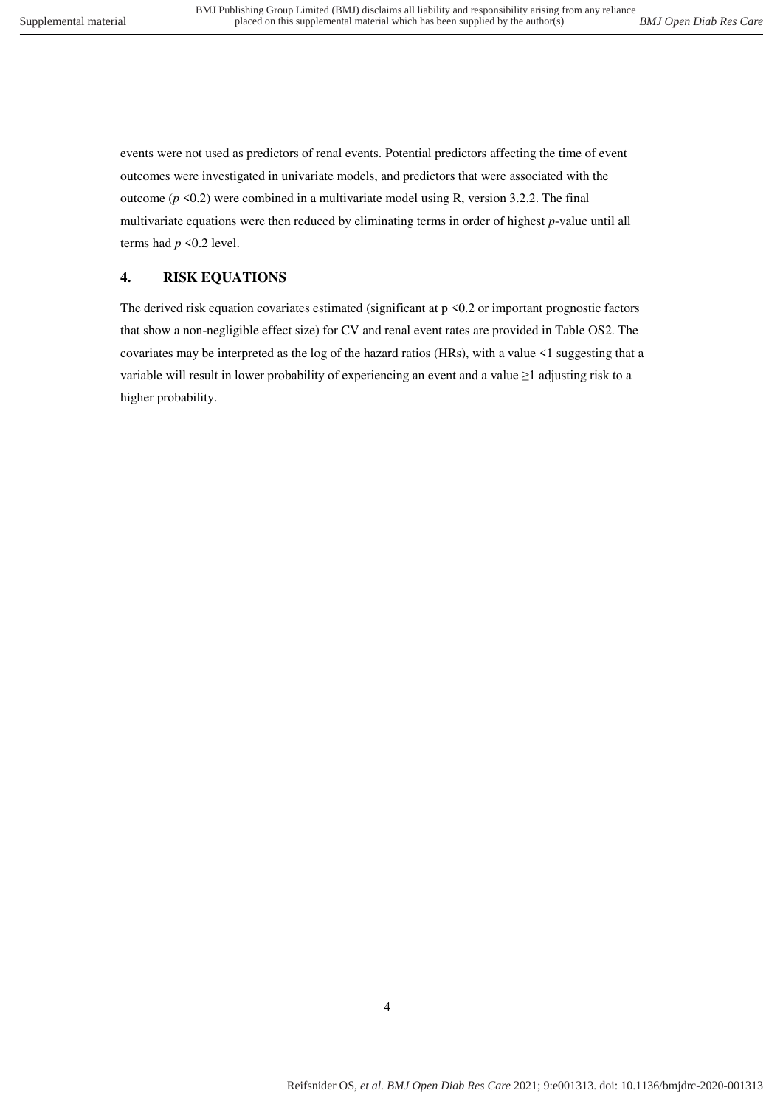events were not used as predictors of renal events. Potential predictors affecting the time of event outcomes were investigated in univariate models, and predictors that were associated with the outcome  $(p \le 0.2)$  were combined in a multivariate model using R, version 3.2.2. The final multivariate equations were then reduced by eliminating terms in order of highest *p*-value until all terms had  $p \le 0.2$  level.

## <span id="page-3-0"></span>**4. RISK EQUATIONS**

The derived risk equation covariates estimated (significant at  $p \le 0.2$  or important prognostic factors that show a non-negligible effect size) for CV and renal event rates are provided in Table OS2. The covariates may be interpreted as the log of the hazard ratios (HRs), with a value <1 suggesting that a variable will result in lower probability of experiencing an event and a value  $\geq 1$  adjusting risk to a higher probability.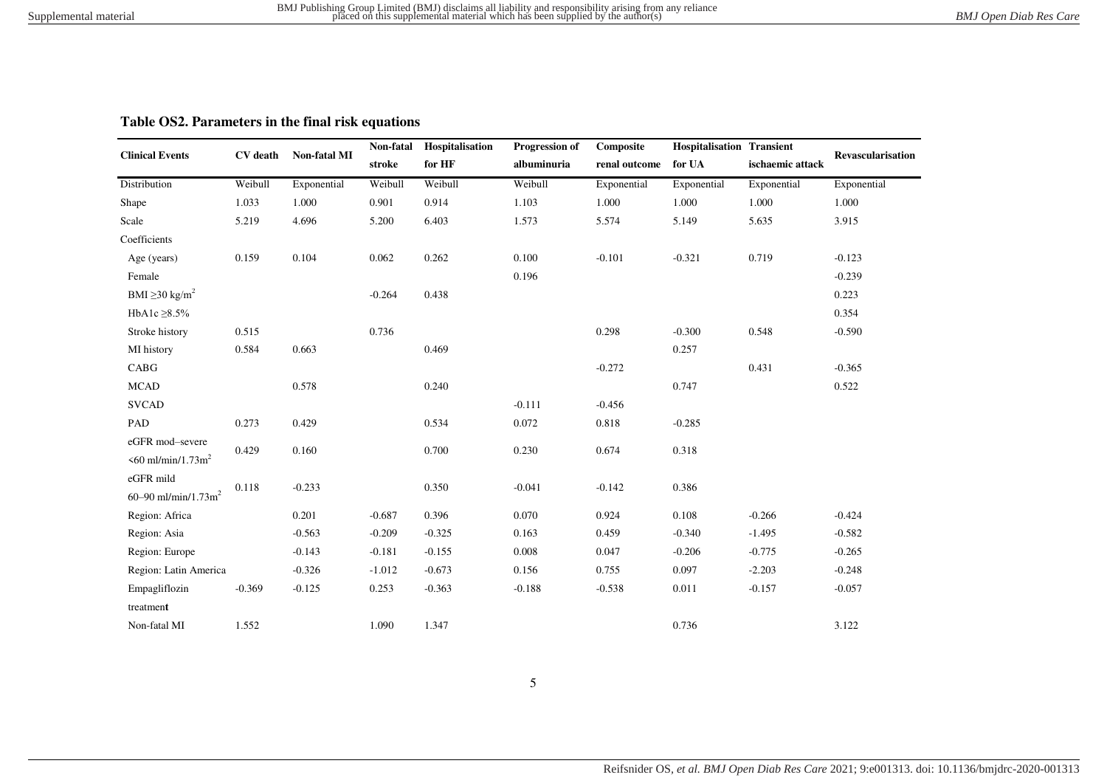## **Table OS2. Parameters in the final risk equations**

<span id="page-4-0"></span>

|                                 |                 |              | Non-fatal | Hospitalisation | Progression of | Composite     | <b>Hospitalisation Transient</b> |                  |                          |
|---------------------------------|-----------------|--------------|-----------|-----------------|----------------|---------------|----------------------------------|------------------|--------------------------|
| <b>Clinical Events</b>          | <b>CV</b> death | Non-fatal MI | stroke    | for HF          | albuminuria    | renal outcome | for UA                           | ischaemic attack | <b>Revascularisation</b> |
| Distribution                    | Weibull         | Exponential  | Weibull   | Weibull         | Weibull        | Exponential   | Exponential                      | Exponential      | Exponential              |
| Shape                           | 1.033           | 1.000        | 0.901     | 0.914           | 1.103          | 1.000         | 1.000                            | 1.000            | 1.000                    |
| Scale                           | 5.219           | 4.696        | 5.200     | 6.403           | 1.573          | 5.574         | 5.149                            | 5.635            | 3.915                    |
| Coefficients                    |                 |              |           |                 |                |               |                                  |                  |                          |
| Age (years)                     | 0.159           | 0.104        | 0.062     | 0.262           | 0.100          | $-0.101$      | $-0.321$                         | 0.719            | $-0.123$                 |
| Female                          |                 |              |           |                 | 0.196          |               |                                  |                  | $-0.239$                 |
| BMI $\geq$ 30 kg/m <sup>2</sup> |                 |              | $-0.264$  | 0.438           |                |               |                                  |                  | 0.223                    |
| HbA1c $\geq$ 8.5%               |                 |              |           |                 |                |               |                                  |                  | 0.354                    |
| Stroke history                  | 0.515           |              | 0.736     |                 |                | 0.298         | $-0.300$                         | 0.548            | $-0.590$                 |
| MI history                      | 0.584           | 0.663        |           | 0.469           |                |               | 0.257                            |                  |                          |
| CABG                            |                 |              |           |                 |                | $-0.272$      |                                  | 0.431            | $-0.365$                 |
| <b>MCAD</b>                     |                 | 0.578        |           | 0.240           |                |               | 0.747                            |                  | 0.522                    |
| <b>SVCAD</b>                    |                 |              |           |                 | $-0.111$       | $-0.456$      |                                  |                  |                          |
| PAD                             | 0.273           | 0.429        |           | 0.534           | 0.072          | 0.818         | $-0.285$                         |                  |                          |
| eGFR mod-severe                 |                 |              |           |                 |                |               |                                  |                  |                          |
| $560$ ml/min/1.73m <sup>2</sup> | 0.429           | 0.160        |           | 0.700           | 0.230          | 0.674         | 0.318                            |                  |                          |
| eGFR mild                       |                 |              |           |                 |                |               |                                  |                  |                          |
| 60-90 ml/min/1.73m <sup>2</sup> | 0.118           | $-0.233$     |           | 0.350           | $-0.041$       | $-0.142$      | 0.386                            |                  |                          |
| Region: Africa                  |                 | 0.201        | $-0.687$  | 0.396           | 0.070          | 0.924         | 0.108                            | $-0.266$         | $-0.424$                 |
| Region: Asia                    |                 | $-0.563$     | $-0.209$  | $-0.325$        | 0.163          | 0.459         | $-0.340$                         | $-1.495$         | $-0.582$                 |
| Region: Europe                  |                 | $-0.143$     | $-0.181$  | $-0.155$        | 0.008          | 0.047         | $-0.206$                         | $-0.775$         | $-0.265$                 |
| Region: Latin America           |                 | $-0.326$     | $-1.012$  | $-0.673$        | 0.156          | 0.755         | 0.097                            | $-2.203$         | $-0.248$                 |
| Empagliflozin                   | $-0.369$        | $-0.125$     | 0.253     | $-0.363$        | $-0.188$       | $-0.538$      | 0.011                            | $-0.157$         | $-0.057$                 |
| treatment                       |                 |              |           |                 |                |               |                                  |                  |                          |
| Non-fatal MI                    | 1.552           |              | 1.090     | 1.347           |                |               | 0.736                            |                  | 3.122                    |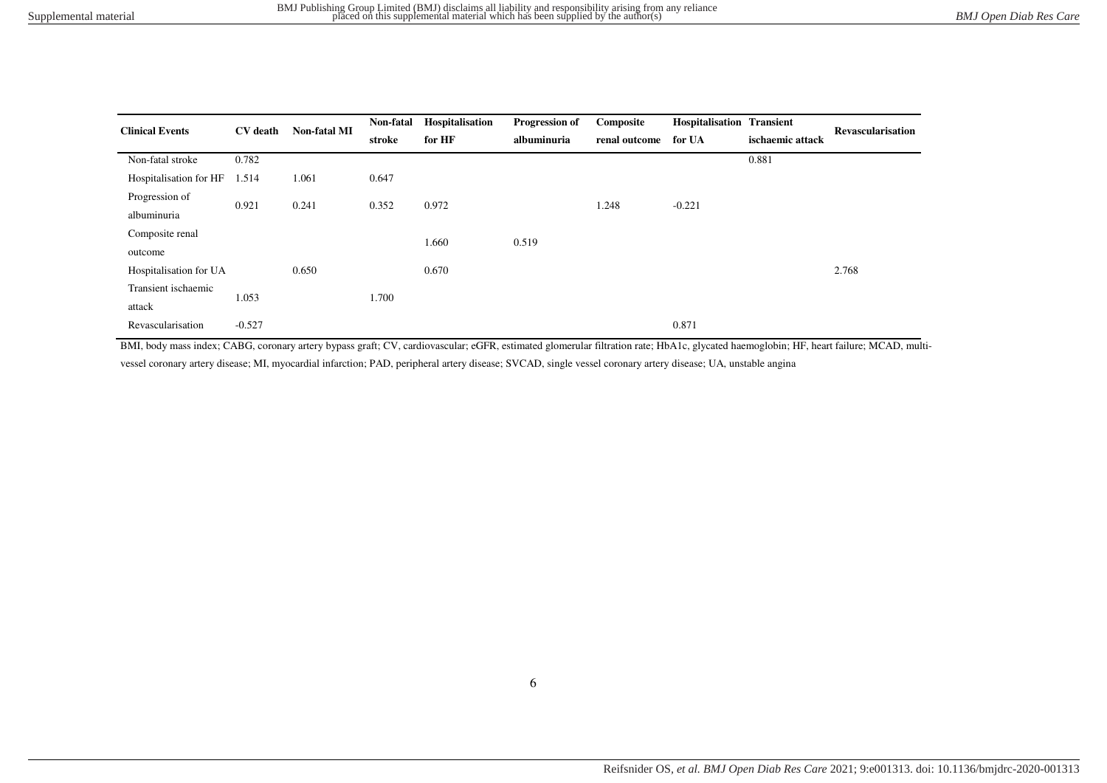| <b>Clinical Events</b> | <b>CV</b> death | <b>Non-fatal MI</b> | Non-fatal | Hospitalisation | Progression of | Composite     | <b>Hospitalisation Transient</b> |                  | <b>Revascularisation</b> |
|------------------------|-----------------|---------------------|-----------|-----------------|----------------|---------------|----------------------------------|------------------|--------------------------|
|                        |                 |                     | stroke    | for HF          | albuminuria    | renal outcome | for UA                           | ischaemic attack |                          |
| Non-fatal stroke       | 0.782           |                     |           |                 |                |               |                                  | 0.881            |                          |
| Hospitalisation for HF | 1.514           | 1.061               | 0.647     |                 |                |               |                                  |                  |                          |
| Progression of         | 0.921           | 0.241               | 0.352     | 0.972           |                | 1.248         | $-0.221$                         |                  |                          |
| albuminuria            |                 |                     |           |                 |                |               |                                  |                  |                          |
| Composite renal        |                 |                     |           | 1.660           | 0.519          |               |                                  |                  |                          |
| outcome                |                 |                     |           |                 |                |               |                                  |                  |                          |
| Hospitalisation for UA |                 | 0.650               |           | 0.670           |                |               |                                  |                  | 2.768                    |
| Transient ischaemic    | 1.053           |                     | 1.700     |                 |                |               |                                  |                  |                          |
| attack                 |                 |                     |           |                 |                |               |                                  |                  |                          |
| Revascularisation      | $-0.527$        |                     |           |                 |                |               | 0.871                            |                  |                          |

BMI, body mass index; CABG, coronary artery bypass graft; CV, cardiovascular; eGFR, estimated glomerular filtration rate; HbA1c, glycated haemoglobin; HF, heart failure; MCAD, multi-

vessel coronary artery disease; MI, myocardial infarction; PAD, peripheral artery disease; SVCAD, single vessel coronary artery disease; UA, unstable angina

6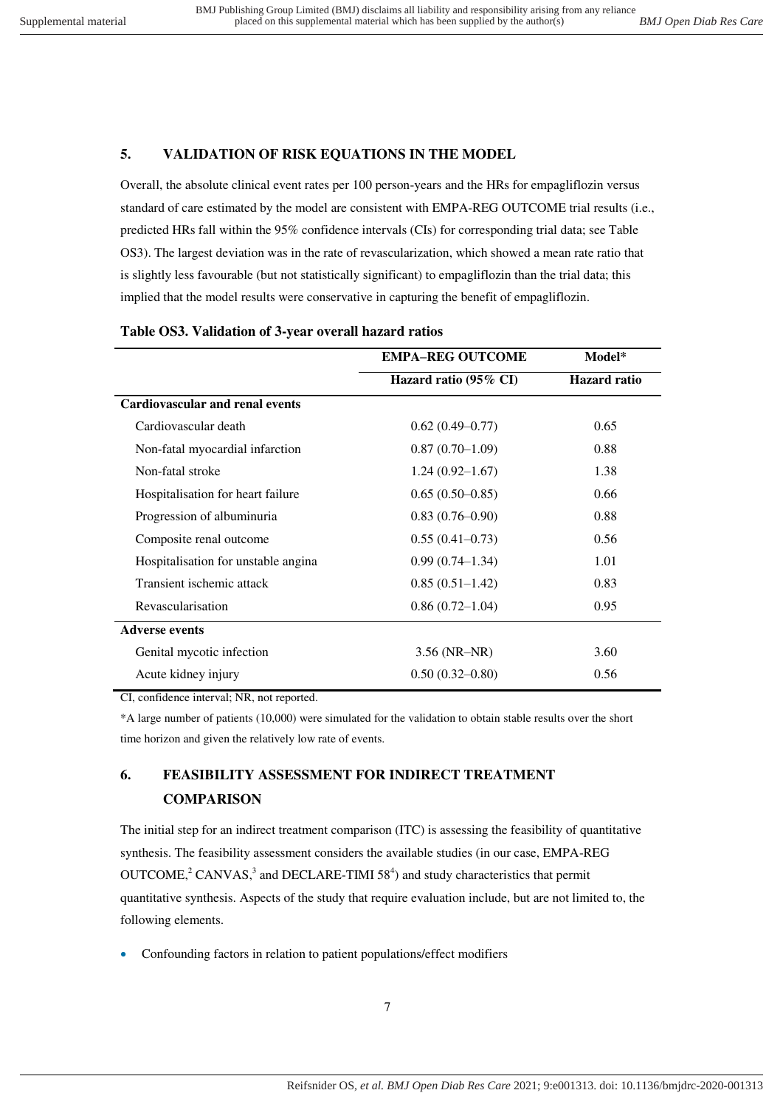## <span id="page-6-0"></span>**5. VALIDATION OF RISK EQUATIONS IN THE MODEL**

Overall, the absolute clinical event rates per 100 person-years and the HRs for empagliflozin versus standard of care estimated by the model are consistent with EMPA-REG OUTCOME trial results (i.e., predicted HRs fall within the 95% confidence intervals (CIs) for corresponding trial data; see Table OS3). The largest deviation was in the rate of revascularization, which showed a mean rate ratio that is slightly less favourable (but not statistically significant) to empagliflozin than the trial data; this implied that the model results were conservative in capturing the benefit of empagliflozin.

|                                        | <b>EMPA-REG OUTCOME</b> | Model*              |
|----------------------------------------|-------------------------|---------------------|
|                                        | Hazard ratio (95% CI)   | <b>Hazard</b> ratio |
| <b>Cardiovascular and renal events</b> |                         |                     |
| Cardiovascular death                   | $0.62(0.49-0.77)$       | 0.65                |
| Non-fatal myocardial infarction        | $0.87(0.70-1.09)$       | 0.88                |
| Non-fatal stroke                       | $1.24(0.92 - 1.67)$     | 1.38                |
| Hospitalisation for heart failure      | $0.65(0.50-0.85)$       | 0.66                |
| Progression of albuminuria             | $0.83(0.76-0.90)$       | 0.88                |
| Composite renal outcome                | $0.55(0.41 - 0.73)$     | 0.56                |
| Hospitalisation for unstable angina    | $0.99(0.74-1.34)$       | 1.01                |
| Transient ischemic attack              | $0.85(0.51-1.42)$       | 0.83                |
| Revascularisation                      | $0.86(0.72 - 1.04)$     | 0.95                |
| <b>Adverse events</b>                  |                         |                     |
| Genital mycotic infection              | 3.56 (NR-NR)            | 3.60                |
| Acute kidney injury                    | $0.50(0.32 - 0.80)$     | 0.56                |
|                                        |                         |                     |

## <span id="page-6-1"></span>**Table OS3. Validation of 3-year overall hazard ratios**

CI, confidence interval; NR, not reported.

\*A large number of patients (10,000) were simulated for the validation to obtain stable results over the short time horizon and given the relatively low rate of events.

# <span id="page-6-2"></span>**6. FEASIBILITY ASSESSMENT FOR INDIRECT TREATMENT COMPARISON**

The initial step for an indirect treatment comparison (ITC) is assessing the feasibility of quantitative synthesis. The feasibility assessment considers the available studies (in our case, EMPA-REG OUTCOME[,](#page-24-3)<sup>2</sup> CANVAS,<sup>3</sup> and DECLARE-TIMI 58<sup>4</sup>[\)](#page-24-4) and study characteristics that permit quantitative synthesis. Aspects of the study that require evaluation include, but are not limited to, the following elements.

Confounding factors in relation to patient populations/effect modifiers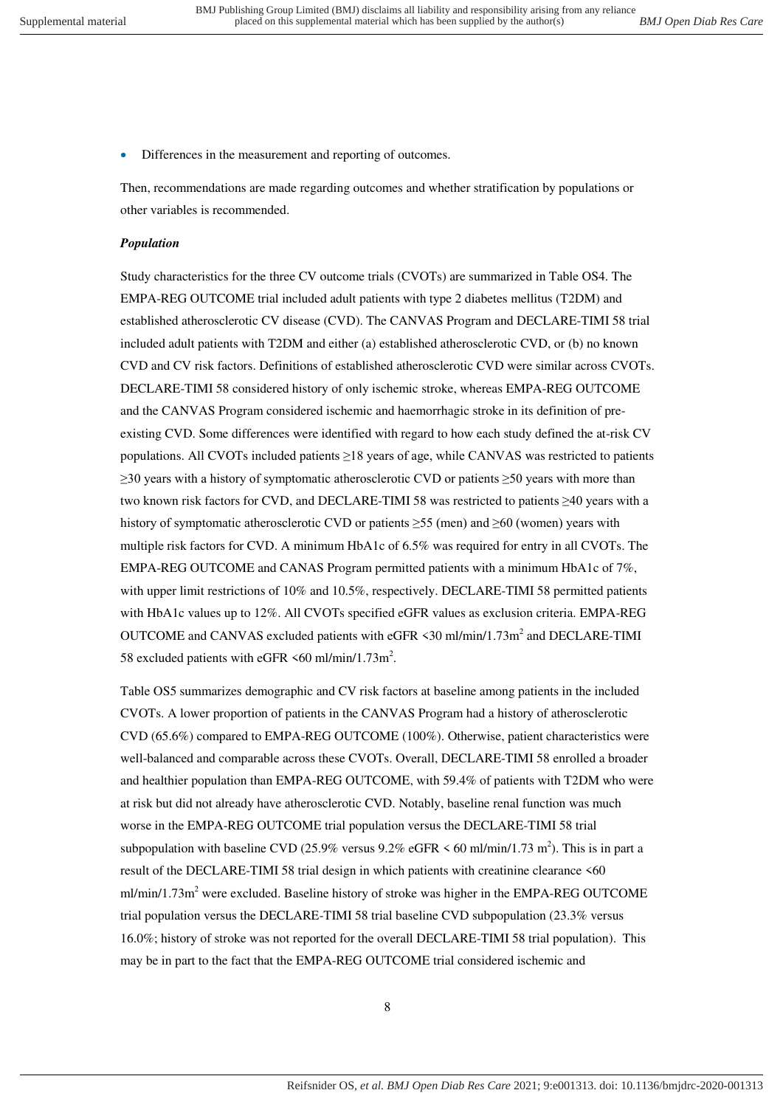Differences in the measurement and reporting of outcomes.

Then, recommendations are made regarding outcomes and whether stratification by populations or other variables is recommended.

#### *Population*

Study characteristics for the three CV outcome trials (CVOTs) are summarized in Table OS4. The EMPA-REG OUTCOME trial included adult patients with type 2 diabetes mellitus (T2DM) and established atherosclerotic CV disease (CVD). The CANVAS Program and DECLARE-TIMI 58 trial included adult patients with T2DM and either (a) established atherosclerotic CVD, or (b) no known CVD and CV risk factors. Definitions of established atherosclerotic CVD were similar across CVOTs. DECLARE-TIMI 58 considered history of only ischemic stroke, whereas EMPA-REG OUTCOME and the CANVAS Program considered ischemic and haemorrhagic stroke in its definition of preexisting CVD. Some differences were identified with regard to how each study defined the at-risk CV populations. All CVOTs included patients ≥18 years of age, while CANVAS was restricted to patients ≥30 years with a history of symptomatic atherosclerotic CVD or patients ≥50 years with more than two known risk factors for CVD, and DECLARE-TIMI 58 was restricted to patients ≥40 years with a history of symptomatic atherosclerotic CVD or patients  $\geq$ 55 (men) and  $\geq$ 60 (women) years with multiple risk factors for CVD. A minimum HbA1c of 6.5% was required for entry in all CVOTs. The EMPA-REG OUTCOME and CANAS Program permitted patients with a minimum HbA1c of 7%, with upper limit restrictions of 10% and 10.5%, respectively. DECLARE-TIMI 58 permitted patients with HbA1c values up to 12%. All CVOTs specified eGFR values as exclusion criteria. EMPA-REG OUTCOME and CANVAS excluded patients with eGFR  $\leq$ 30 ml/min/1.73m<sup>2</sup> and DECLARE-TIMI 58 excluded patients with eGFR  $\leq 60$  ml/min/1.73m<sup>2</sup>.

Table OS5 summarizes demographic and CV risk factors at baseline among patients in the included CVOTs. A lower proportion of patients in the CANVAS Program had a history of atherosclerotic CVD (65.6%) compared to EMPA-REG OUTCOME (100%). Otherwise, patient characteristics were well-balanced and comparable across these CVOTs. Overall, DECLARE-TIMI 58 enrolled a broader and healthier population than EMPA-REG OUTCOME, with 59.4% of patients with T2DM who were at risk but did not already have atherosclerotic CVD. Notably, baseline renal function was much worse in the EMPA-REG OUTCOME trial population versus the DECLARE-TIMI 58 trial subpopulation with baseline CVD (25.9% versus 9.2% eGFR  $\leq 60$  ml/min/1.73 m<sup>2</sup>). This is in part a result of the DECLARE-TIMI 58 trial design in which patients with creatinine clearance <60 ml/min/1.73m<sup>2</sup> were excluded. Baseline history of stroke was higher in the EMPA-REG OUTCOME trial population versus the DECLARE-TIMI 58 trial baseline CVD subpopulation (23.3% versus 16.0%; history of stroke was not reported for the overall DECLARE-TIMI 58 trial population). This may be in part to the fact that the EMPA-REG OUTCOME trial considered ischemic and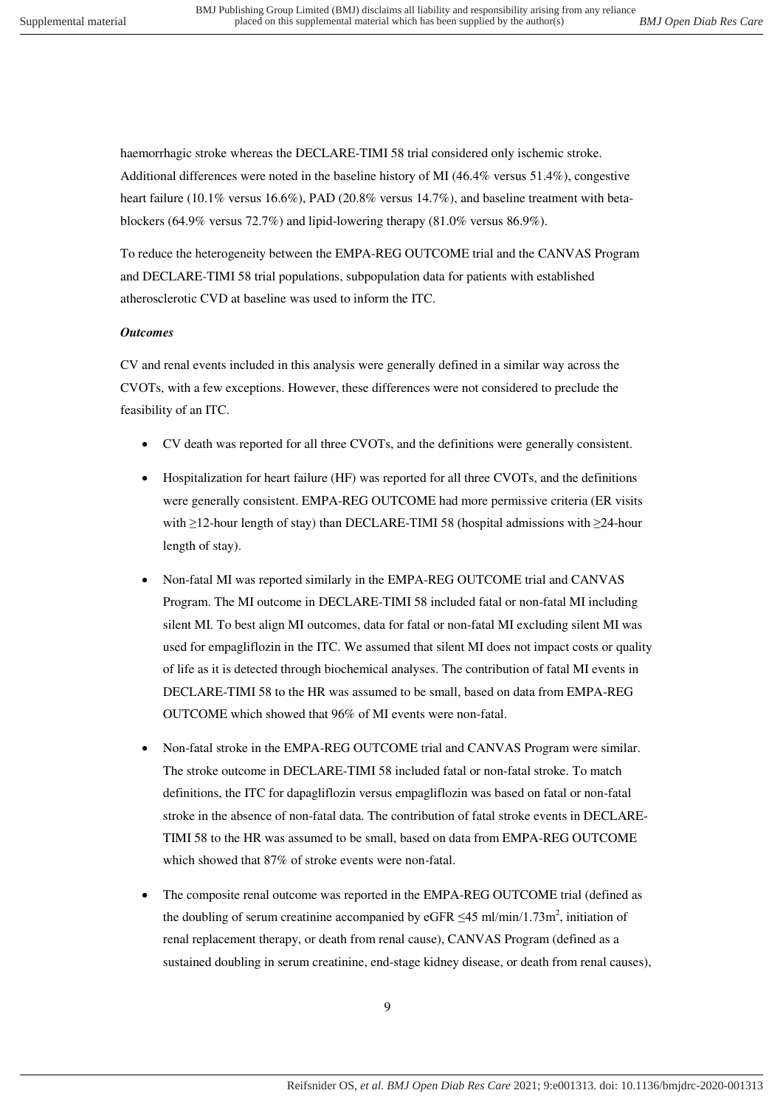haemorrhagic stroke whereas the DECLARE-TIMI 58 trial considered only ischemic stroke. Additional differences were noted in the baseline history of MI (46.4% versus 51.4%), congestive heart failure (10.1% versus 16.6%), PAD (20.8% versus 14.7%), and baseline treatment with betablockers (64.9% versus 72.7%) and lipid-lowering therapy (81.0% versus 86.9%).

To reduce the heterogeneity between the EMPA-REG OUTCOME trial and the CANVAS Program and DECLARE-TIMI 58 trial populations, subpopulation data for patients with established atherosclerotic CVD at baseline was used to inform the ITC.

#### *Outcomes*

CV and renal events included in this analysis were generally defined in a similar way across the CVOTs, with a few exceptions. However, these differences were not considered to preclude the feasibility of an ITC.

- CV death was reported for all three CVOTs, and the definitions were generally consistent.
- Hospitalization for heart failure (HF) was reported for all three CVOTs, and the definitions were generally consistent. EMPA-REG OUTCOME had more permissive criteria (ER visits with ≥12-hour length of stay) than DECLARE-TIMI 58 (hospital admissions with ≥24-hour length of stay).
- Non-fatal MI was reported similarly in the EMPA-REG OUTCOME trial and CANVAS Program. The MI outcome in DECLARE-TIMI 58 included fatal or non-fatal MI including silent MI. To best align MI outcomes, data for fatal or non-fatal MI excluding silent MI was used for empagliflozin in the ITC. We assumed that silent MI does not impact costs or quality of life as it is detected through biochemical analyses. The contribution of fatal MI events in DECLARE-TIMI 58 to the HR was assumed to be small, based on data from EMPA-REG OUTCOME which showed that 96% of MI events were non-fatal.
- Non-fatal stroke in the EMPA-REG OUTCOME trial and CANVAS Program were similar. The stroke outcome in DECLARE-TIMI 58 included fatal or non-fatal stroke. To match definitions, the ITC for dapagliflozin versus empagliflozin was based on fatal or non-fatal stroke in the absence of non-fatal data. The contribution of fatal stroke events in DECLARE-TIMI 58 to the HR was assumed to be small, based on data from EMPA-REG OUTCOME which showed that 87% of stroke events were non-fatal.
- The composite renal outcome was reported in the EMPA-REG OUTCOME trial (defined as the doubling of serum creatinine accompanied by eGFR  $\leq$ 45 ml/min/1.73m<sup>2</sup>, initiation of renal replacement therapy, or death from renal cause), CANVAS Program (defined as a sustained doubling in serum creatinine, end-stage kidney disease, or death from renal causes),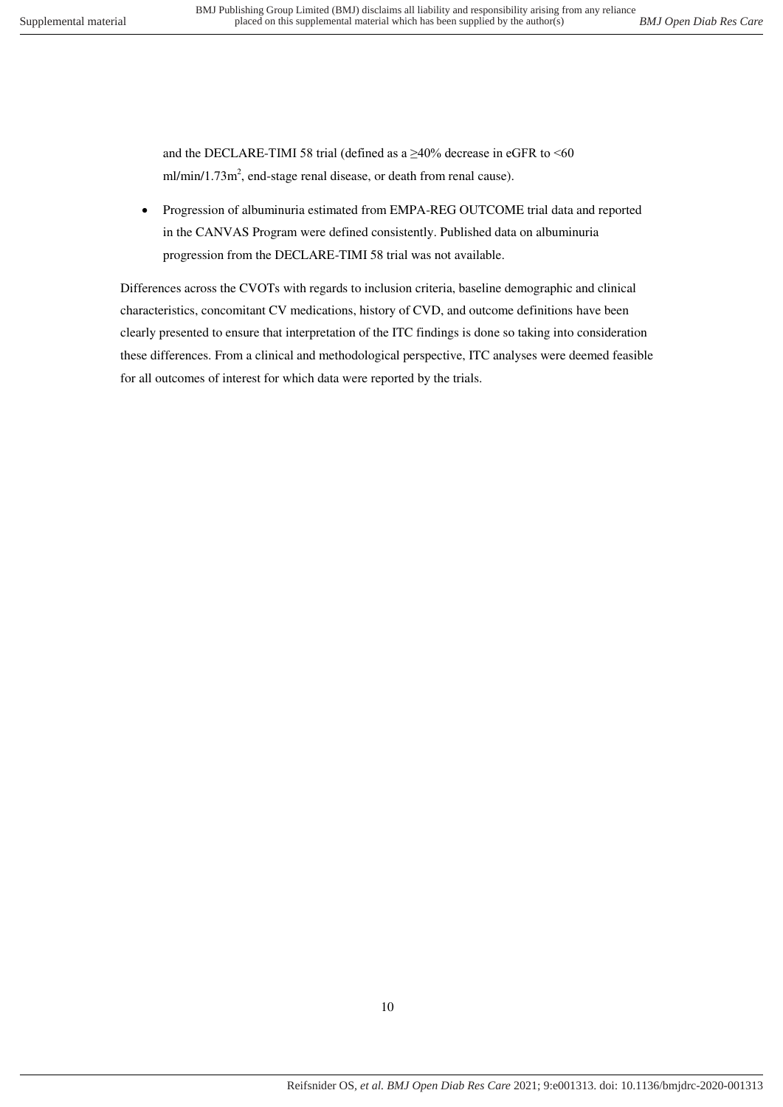and the DECLARE-TIMI 58 trial (defined as a  $\geq$ 40% decrease in eGFR to <60  $ml/min/1.73m<sup>2</sup>$ , end-stage renal disease, or death from renal cause).

 Progression of albuminuria estimated from EMPA-REG OUTCOME trial data and reported in the CANVAS Program were defined consistently. Published data on albuminuria progression from the DECLARE-TIMI 58 trial was not available.

Differences across the CVOTs with regards to inclusion criteria, baseline demographic and clinical characteristics, concomitant CV medications, history of CVD, and outcome definitions have been clearly presented to ensure that interpretation of the ITC findings is done so taking into consideration these differences. From a clinical and methodological perspective, ITC analyses were deemed feasible for all outcomes of interest for which data were reported by the trials.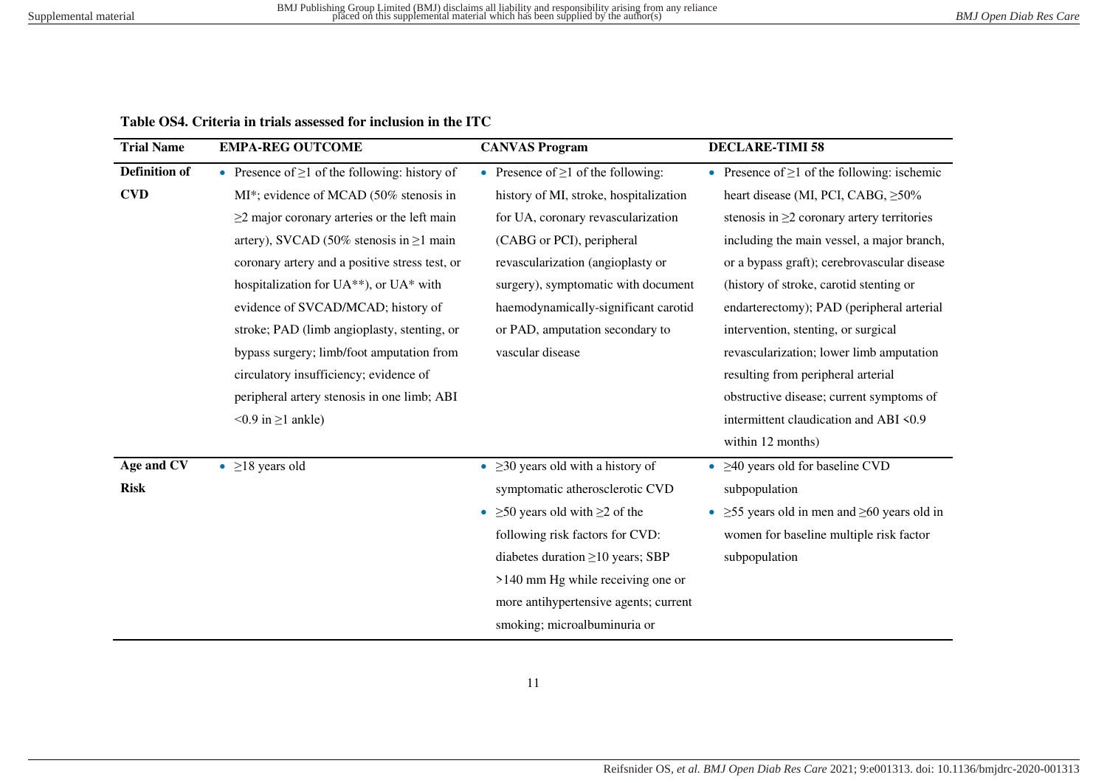**Table OS4. Criteria in trials assessed for inclusion in the ITC** 

<span id="page-10-0"></span>

| <b>Trial Name</b>    | <b>EMPA-REG OUTCOME</b>                             | <b>CANVAS Program</b>                      | <b>DECLARE-TIMI 58</b>                                             |
|----------------------|-----------------------------------------------------|--------------------------------------------|--------------------------------------------------------------------|
| <b>Definition of</b> | • Presence of $\geq 1$ of the following: history of | • Presence of $\geq 1$ of the following:   | • Presence of $\geq 1$ of the following: ischemic                  |
| <b>CVD</b>           | MI*; evidence of MCAD (50% stenosis in              | history of MI, stroke, hospitalization     | heart disease (MI, PCI, CABG, $\geq 50\%$                          |
|                      | $\geq$ 2 major coronary arteries or the left main   | for UA, coronary revascularization         | stenosis in $\geq$ 2 coronary artery territories                   |
|                      | artery), SVCAD (50% stenosis in $\geq 1$ main       | (CABG or PCI), peripheral                  | including the main vessel, a major branch,                         |
|                      | coronary artery and a positive stress test, or      | revascularization (angioplasty or          | or a bypass graft); cerebrovascular disease                        |
|                      | hospitalization for UA**), or UA* with              | surgery), symptomatic with document        | (history of stroke, carotid stenting or                            |
|                      | evidence of SVCAD/MCAD; history of                  | haemodynamically-significant carotid       | endarterectomy); PAD (peripheral arterial                          |
|                      | stroke; PAD (limb angioplasty, stenting, or         | or PAD, amputation secondary to            | intervention, stenting, or surgical                                |
|                      | bypass surgery; limb/foot amputation from           | vascular disease                           | revascularization; lower limb amputation                           |
|                      | circulatory insufficiency; evidence of              |                                            | resulting from peripheral arterial                                 |
|                      | peripheral artery stenosis in one limb; ABI         |                                            | obstructive disease; current symptoms of                           |
|                      | $< 0.9$ in $\geq 1$ ankle)                          |                                            | intermittent claudication and ABI <0.9                             |
|                      |                                                     |                                            | within 12 months)                                                  |
| Age and CV           | • $\geq$ 18 years old                               | • $\geq$ 20 years old with a history of    | $\bullet$ $\geq$ 40 years old for baseline CVD                     |
| <b>Risk</b>          |                                                     | symptomatic atherosclerotic CVD            | subpopulation                                                      |
|                      |                                                     | • $\geq 50$ years old with $\geq 2$ of the | $\geq$ 55 years old in men and $\geq$ 60 years old in<br>$\bullet$ |
|                      |                                                     | following risk factors for CVD:            | women for baseline multiple risk factor                            |
|                      |                                                     | diabetes duration $\geq 10$ years; SBP     | subpopulation                                                      |
|                      |                                                     | $>140$ mm Hg while receiving one or        |                                                                    |
|                      |                                                     | more antihypertensive agents; current      |                                                                    |
|                      |                                                     | smoking; microalbuminuria or               |                                                                    |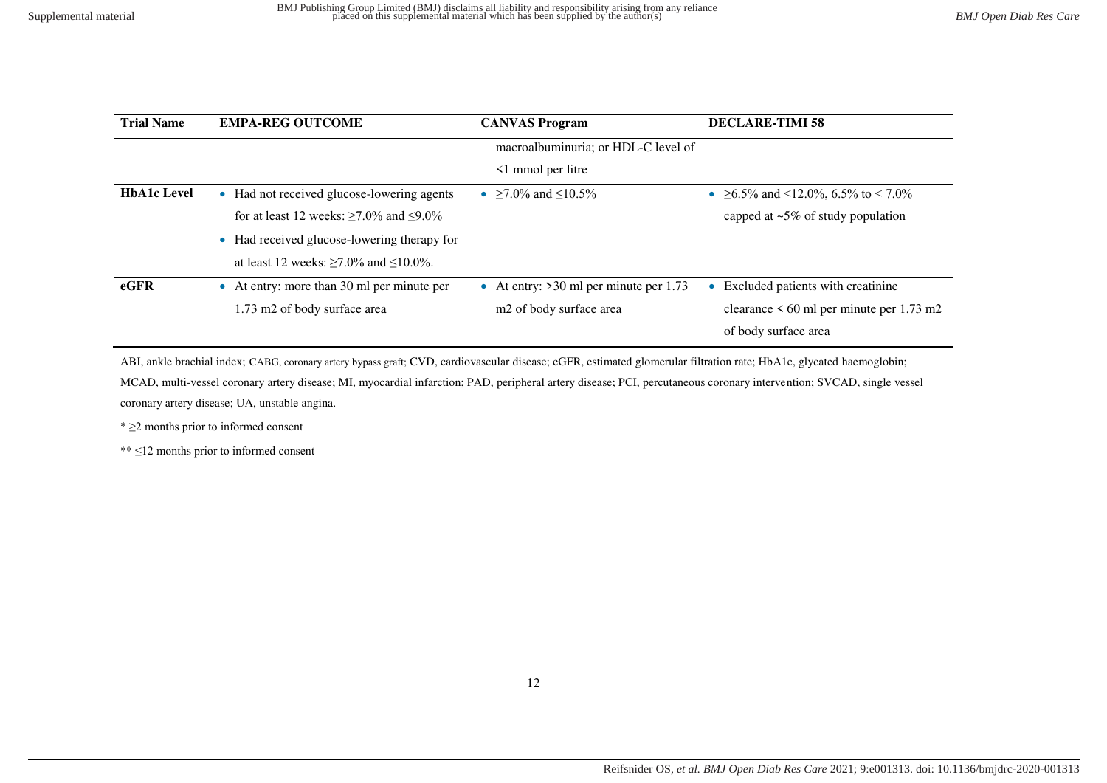| <b>Trial Name</b>  | <b>EMPA-REG OUTCOME</b>                             | <b>CANVAS Program</b>                    | <b>DECLARE-TIMI 58</b>                        |
|--------------------|-----------------------------------------------------|------------------------------------------|-----------------------------------------------|
|                    |                                                     | macroalbuminuria; or HDL-C level of      |                                               |
|                    |                                                     | $\leq$ 1 mmol per litre                  |                                               |
| <b>HbA1c Level</b> | • Had not received glucose-lowering agents          | • $\geq 7.0\%$ and $\leq 10.5\%$         | • $\geq 6.5\%$ and <12.0%, 6.5% to < 7.0%     |
|                    | for at least 12 weeks: $\geq$ 7.0% and $\leq$ 9.0%  |                                          | capped at $\sim$ 5% of study population       |
|                    | • Had received glucose-lowering therapy for         |                                          |                                               |
|                    | at least 12 weeks: $\geq 7.0\%$ and $\leq 10.0\%$ . |                                          |                                               |
| $e$ GFR            | • At entry: more than 30 ml per minute per          | • At entry: $>30$ ml per minute per 1.73 | Excluded patients with creatinine             |
|                    | 1.73 m2 of body surface area                        | m <sub>2</sub> of body surface area      | clearance $\leq 60$ ml per minute per 1.73 m2 |
|                    |                                                     |                                          | of body surface area                          |

ABI, ankle brachial index; CABG, coronary artery bypass graft; CVD, cardiovascular disease; eGFR, estimated glomerular filtration rate; HbA1c, glycated haemoglobin;

MCAD, multi-vessel coronary artery disease; MI, myocardial infarction; PAD, peripheral artery disease; PCI, percutaneous coronary intervention; SVCAD, single vessel coronary artery disease; UA, unstable angina.

\* ≥2 months prior to informed consent

\*\* ≤12 months prior to informed consent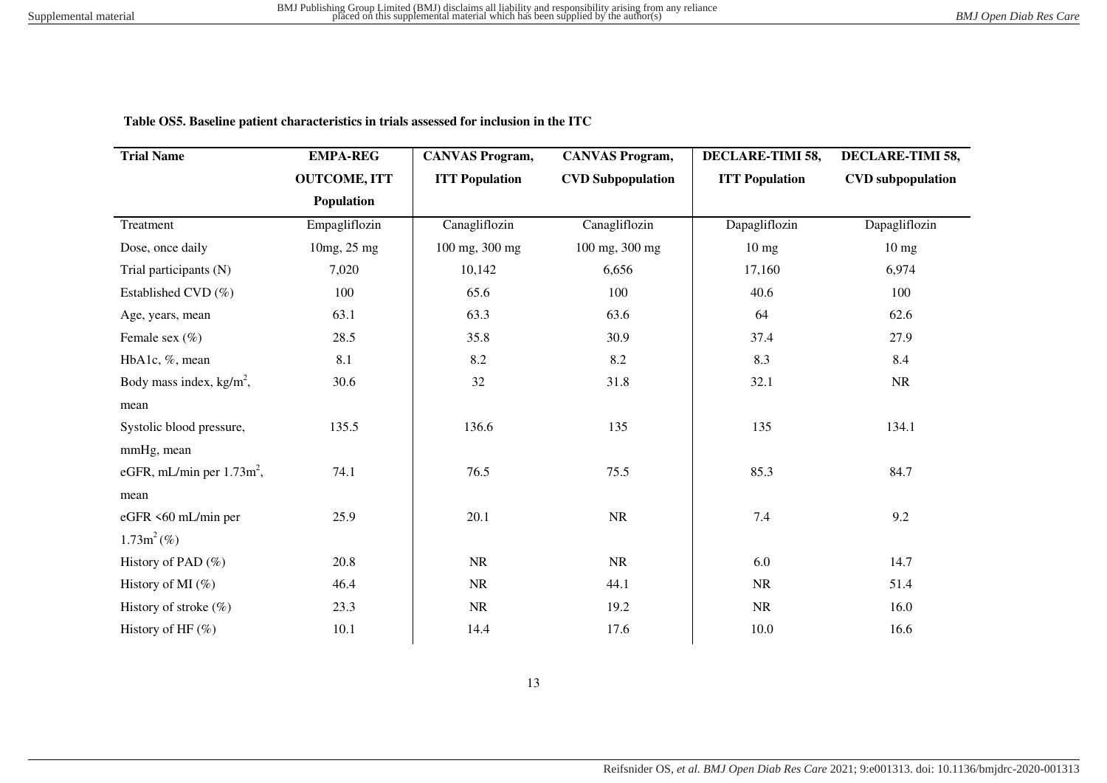| <b>Trial Name</b>                        | <b>EMPA-REG</b>     | <b>CANVAS Program,</b> | <b>CANVAS Program,</b>   | DECLARE-TIMI 58,      | DECLARE-TIMI 58,         |
|------------------------------------------|---------------------|------------------------|--------------------------|-----------------------|--------------------------|
|                                          | <b>OUTCOME, ITT</b> | <b>ITT Population</b>  | <b>CVD Subpopulation</b> | <b>ITT Population</b> | <b>CVD</b> subpopulation |
|                                          | Population          |                        |                          |                       |                          |
| Treatment                                | Empagliflozin       | Canagliflozin          | Canagliflozin            | Dapagliflozin         | Dapagliflozin            |
| Dose, once daily                         | 10mg, 25 mg         | 100 mg, 300 mg         | 100 mg, 300 mg           | $10 \text{ mg}$       | $10 \text{ mg}$          |
| Trial participants (N)                   | 7,020               | 10,142                 | 6,656                    | 17,160                | 6,974                    |
| Established CVD (%)                      | 100                 | 65.6                   | 100                      | 40.6                  | 100                      |
| Age, years, mean                         | 63.1                | 63.3                   | 63.6                     | 64                    | 62.6                     |
| Female sex $(\% )$                       | 28.5                | 35.8                   | 30.9                     | 37.4                  | 27.9                     |
| HbA1c, %, mean                           | 8.1                 | 8.2                    | 8.2                      | 8.3                   | 8.4                      |
| Body mass index, $kg/m^2$ ,              | 30.6                | 32                     | 31.8                     | 32.1                  | <b>NR</b>                |
| mean                                     |                     |                        |                          |                       |                          |
| Systolic blood pressure,                 | 135.5               | 136.6                  | 135                      | 135                   | 134.1                    |
| mmHg, mean                               |                     |                        |                          |                       |                          |
| eGFR, mL/min per $1.73$ m <sup>2</sup> , | 74.1                | 76.5                   | 75.5                     | 85.3                  | 84.7                     |
| mean                                     |                     |                        |                          |                       |                          |
| eGFR <60 mL/min per                      | 25.9                | 20.1                   | NR                       | $7.4\,$               | 9.2                      |
| $1.73m^2$ (%)                            |                     |                        |                          |                       |                          |
| History of PAD $(\% )$                   | 20.8                | <b>NR</b>              | <b>NR</b>                | 6.0                   | 14.7                     |
| History of MI $(\% )$                    | 46.4                | NR                     | 44.1                     | <b>NR</b>             | 51.4                     |
| History of stroke $(\% )$                | 23.3                | NR                     | 19.2                     | <b>NR</b>             | 16.0                     |
| History of HF $(\%)$                     | 10.1                | 14.4                   | 17.6                     | 10.0                  | 16.6                     |

 **Table OS5. Baseline patient characteristics in trials assessed for inclusion in the ITC**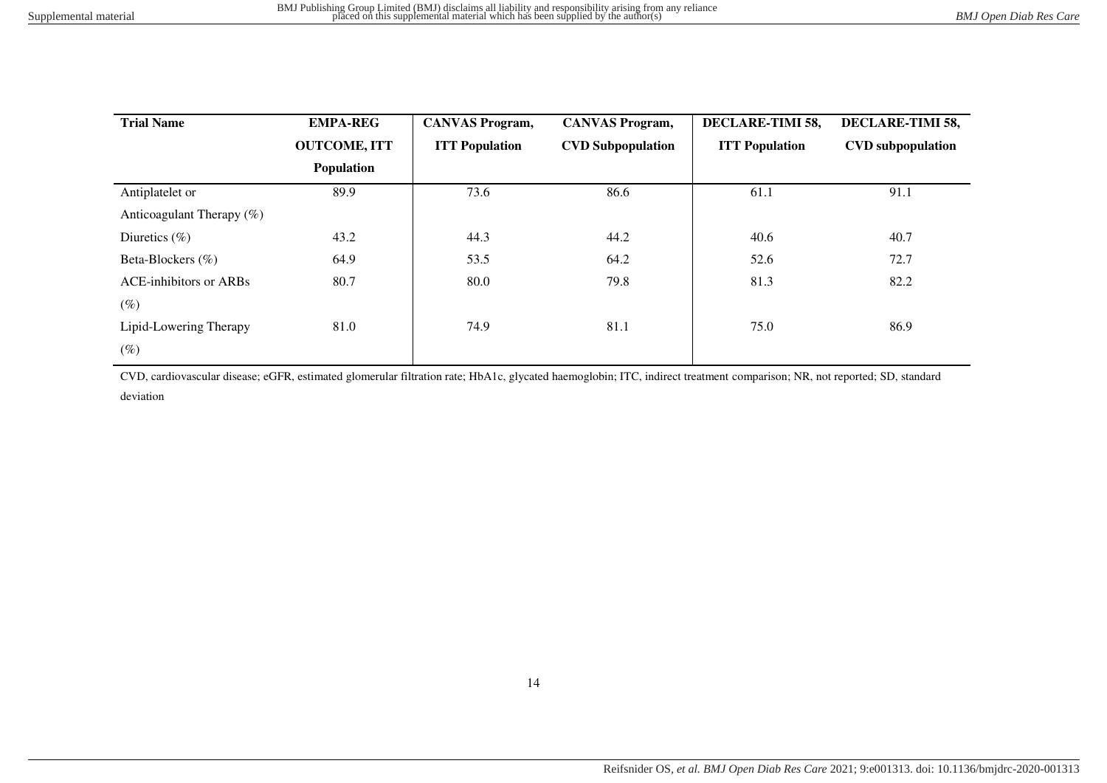| <b>Trial Name</b>             | <b>EMPA-REG</b>     | <b>CANVAS Program,</b> | <b>CANVAS Program,</b>   | DECLARE-TIMI 58,      | DECLARE-TIMI 58,         |
|-------------------------------|---------------------|------------------------|--------------------------|-----------------------|--------------------------|
|                               | <b>OUTCOME, ITT</b> | <b>ITT Population</b>  | <b>CVD Subpopulation</b> | <b>ITT Population</b> | <b>CVD</b> subpopulation |
|                               | <b>Population</b>   |                        |                          |                       |                          |
| Antiplatelet or               | 89.9                | 73.6                   | 86.6                     | 61.1                  | 91.1                     |
| Anticoagulant Therapy $(\%)$  |                     |                        |                          |                       |                          |
| Diuretics $(\% )$             | 43.2                | 44.3                   | 44.2                     | 40.6                  | 40.7                     |
| Beta-Blockers (%)             | 64.9                | 53.5                   | 64.2                     | 52.6                  | 72.7                     |
| <b>ACE-inhibitors or ARBs</b> | 80.7                | 80.0                   | 79.8                     | 81.3                  | 82.2                     |
| $(\%)$                        |                     |                        |                          |                       |                          |
| Lipid-Lowering Therapy        | 81.0                | 74.9                   | 81.1                     | 75.0                  | 86.9                     |
| $(\%)$                        |                     |                        |                          |                       |                          |

CVD, cardiovascular disease; eGFR, estimated glomerular filtration rate; HbA1c, glycated haemoglobin; ITC, indirect treatment comparison; NR, not reported; SD, standard deviation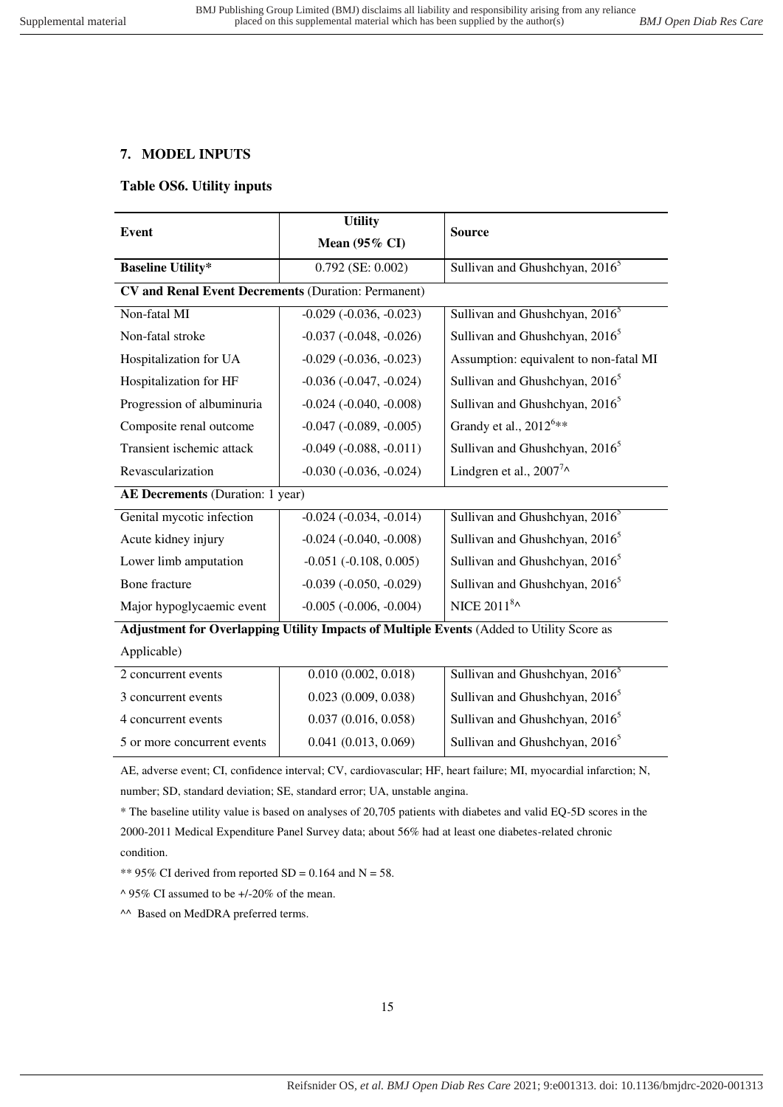## <span id="page-14-0"></span>**7. MODEL INPUTS**

#### **Table OS6. Utility inputs**

| <b>Event</b>                                               | <b>Utility</b>              | <b>Source</b>                                                                            |
|------------------------------------------------------------|-----------------------------|------------------------------------------------------------------------------------------|
|                                                            | Mean $(95\% \text{ CI})$    |                                                                                          |
| <b>Baseline Utility*</b>                                   | $0.792$ (SE: $0.002$ )      | Sullivan and Ghushchyan, 2016 <sup>5</sup>                                               |
| <b>CV and Renal Event Decrements (Duration: Permanent)</b> |                             |                                                                                          |
| Non-fatal MI                                               | $-0.029$ $(-0.036, -0.023)$ | Sullivan and Ghushchyan, 2016 <sup>5</sup>                                               |
| Non-fatal stroke                                           | $-0.037 (-0.048, -0.026)$   | Sullivan and Ghushchyan, 2016 <sup>5</sup>                                               |
| Hospitalization for UA                                     | $-0.029$ $(-0.036, -0.023)$ | Assumption: equivalent to non-fatal MI                                                   |
| Hospitalization for HF                                     | $-0.036$ $(-0.047, -0.024)$ | Sullivan and Ghushchyan, 2016 <sup>5</sup>                                               |
| Progression of albuminuria                                 | $-0.024$ $(-0.040, -0.008)$ | Sullivan and Ghushchyan, 2016 <sup>5</sup>                                               |
| Composite renal outcome                                    | $-0.047$ $(-0.089, -0.005)$ | Grandy et al., 2012 <sup>6**</sup>                                                       |
| Transient ischemic attack                                  | $-0.049$ $(-0.088, -0.011)$ | Sullivan and Ghushchyan, 2016 <sup>5</sup>                                               |
| Revascularization                                          | $-0.030$ $(-0.036, -0.024)$ | Lindgren et al., $2007^7$ ^                                                              |
| AE Decrements (Duration: 1 year)                           |                             |                                                                                          |
| Genital mycotic infection                                  | $-0.024$ $(-0.034, -0.014)$ | Sullivan and Ghushchyan, 2016 <sup>5</sup>                                               |
| Acute kidney injury                                        | $-0.024$ $(-0.040, -0.008)$ | Sullivan and Ghushchyan, 2016 <sup>5</sup>                                               |
| Lower limb amputation                                      | $-0.051$ $(-0.108, 0.005)$  | Sullivan and Ghushchyan, 2016 <sup>5</sup>                                               |
| Bone fracture                                              | $-0.039$ $(-0.050, -0.029)$ | Sullivan and Ghushchyan, 2016 <sup>5</sup>                                               |
| Major hypoglycaemic event                                  | $-0.005$ $(-0.006, -0.004)$ | NICE 2011 <sup>8</sup> ^                                                                 |
|                                                            |                             | Adjustment for Overlapping Utility Impacts of Multiple Events (Added to Utility Score as |
| Applicable)                                                |                             |                                                                                          |
| $\overline{2}$ concurrent events                           | 0.010(0.002, 0.018)         | Sullivan and Ghushchyan, 2016 <sup>5</sup>                                               |
| 3 concurrent events                                        | 0.023(0.009, 0.038)         | Sullivan and Ghushchyan, 2016 <sup>5</sup>                                               |
| 4 concurrent events                                        | 0.037(0.016, 0.058)         | Sullivan and Ghushchyan, 2016 <sup>5</sup>                                               |
| 5 or more concurrent events                                | 0.041(0.013, 0.069)         | Sullivan and Ghushchyan, 2016 <sup>5</sup>                                               |

AE, adverse event; CI, confidence interval; CV, cardiovascular; HF, heart failure; MI, myocardial infarction; N, number; SD, standard deviation; SE, standard error; UA, unstable angina.

\* The baseline utility value is based on analyses of 20,705 patients with diabetes and valid EQ-5D scores in the 2000-2011 Medical Expenditure Panel Survey data; about 56% had at least one diabetes-related chronic condition.

\*\* 95% CI derived from reported  $SD = 0.164$  and  $N = 58$ .

 $\triangle$  95% CI assumed to be +/-20% of the mean.

^^ Based on MedDRA preferred terms.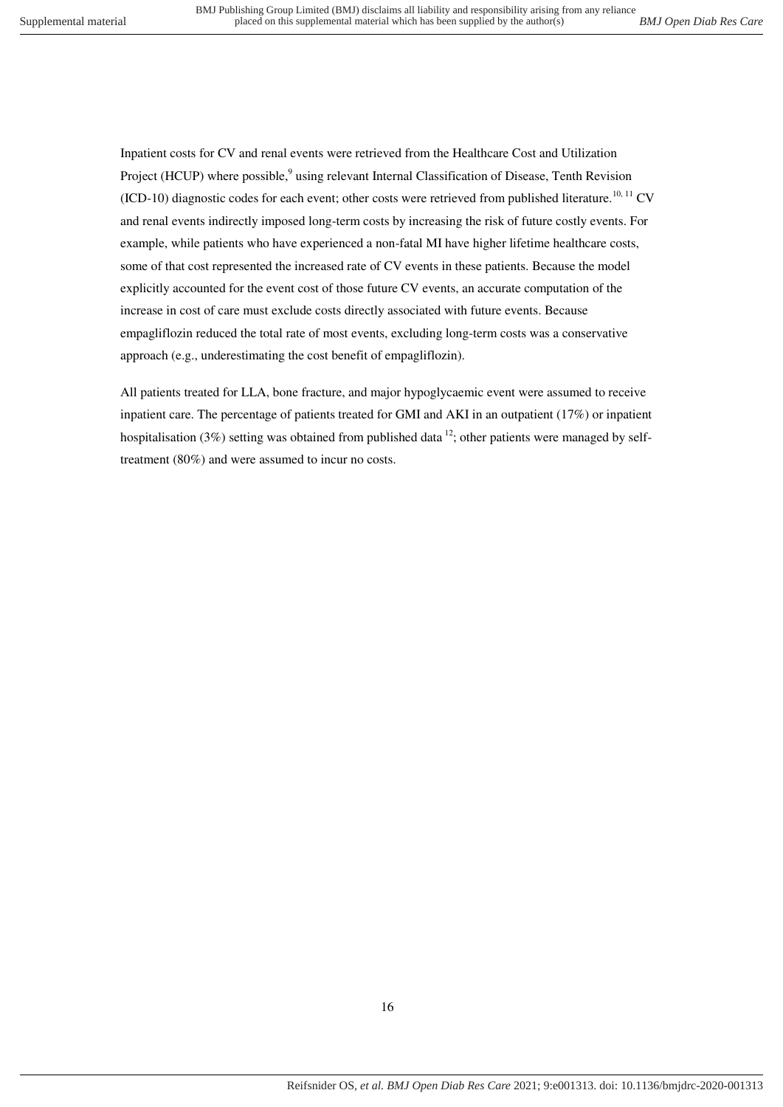Inpatient costs for CV and renal events were retrieved from the Healthcare Cost and Utilization Project (HCUP) where possible[,](#page-24-9)<sup>9</sup> using relevant Internal Classification of Disease, Tenth Revision (ICD-10) diagnostic codes for each event; other costs were retrieved from published literature.<sup>[10,](#page-24-10) [11](#page-25-0)</sup> CV and renal events indirectly imposed long-term costs by increasing the risk of future costly events. For example, while patients who have experienced a non-fatal MI have higher lifetime healthcare costs, some of that cost represented the increased rate of CV events in these patients. Because the model explicitly accounted for the event cost of those future CV events, an accurate computation of the increase in cost of care must exclude costs directly associated with future events. Because empagliflozin reduced the total rate of most events, excluding long-term costs was a conservative approach (e.g., underestimating the cost benefit of empagliflozin).

All patients treated for LLA, bone fracture, and major hypoglycaemic event were assumed to receive inpatient care. The percentage of patients treated for GMI and AKI in an outpatient (17%) or inpatient hospitalisation (3%) setting was obtained from published data  $^{12}$ ; other patients were managed by selftreatment (80%) and were assumed to incur no costs.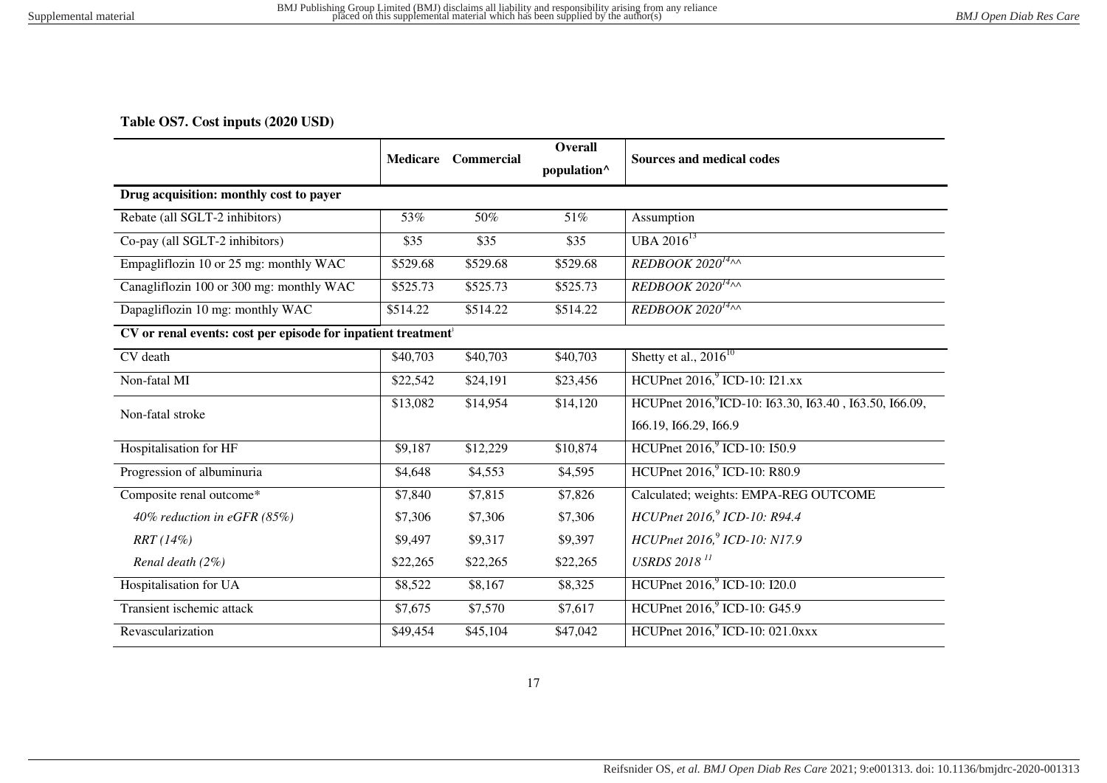## **Table OS7. Cost inputs (2020 USD)**

<span id="page-16-0"></span>

|                                                                           | <b>Medicare</b> | Commercial | Overall                 | <b>Sources and medical codes</b>                                   |
|---------------------------------------------------------------------------|-----------------|------------|-------------------------|--------------------------------------------------------------------|
|                                                                           |                 |            | population <sup>^</sup> |                                                                    |
| Drug acquisition: monthly cost to payer                                   |                 |            |                         |                                                                    |
| Rebate (all SGLT-2 inhibitors)                                            | 53%             | 50%        | 51%                     | Assumption                                                         |
| Co-pay (all SGLT-2 inhibitors)                                            | \$35            | \$35       | \$35                    | UBA $2016^{13}$                                                    |
| Empagliflozin 10 or 25 mg: monthly WAC                                    | \$529.68        | \$529.68   | \$529.68                | REDBOOK 2020 $14\gamma\lambda$                                     |
| Canagliflozin 100 or 300 mg: monthly WAC                                  | \$525.73        | \$525.73   | \$525.73                | REDBOOK 2020 $14\text{A}$                                          |
| Dapagliflozin 10 mg: monthly WAC                                          | \$514.22        | \$514.22   | \$514.22                | REDBOOK 2020 <sup>14</sup> $\sim$                                  |
| CV or renal events: cost per episode for inpatient treatment <sup>†</sup> |                 |            |                         |                                                                    |
| CV death                                                                  | \$40,703        | \$40,703   | \$40,703                | Shetty et al., $2016^{10}$                                         |
| Non-fatal MI                                                              | \$22,542        | \$24,191   | \$23,456                | HCUPnet 2016, <sup>9</sup> ICD-10: I21.xx                          |
| Non-fatal stroke                                                          | \$13,082        | \$14,954   | \$14,120                | HCUPnet 2016, <sup>9</sup> ICD-10: I63.30, I63.40, I63.50, I66.09, |
|                                                                           |                 |            |                         | 166.19, 166.29, 166.9                                              |
| Hospitalisation for HF                                                    | \$9,187         | \$12,229   | \$10,874                | HCUPnet 2016, <sup>9</sup> ICD-10: I50.9                           |
| Progression of albuminuria                                                | \$4,648         | \$4,553    | \$4,595                 | HCUPnet 2016, <sup>9</sup> ICD-10: R80.9                           |
| Composite renal outcome*                                                  | \$7,840         | \$7,815    | \$7,826                 | Calculated; weights: EMPA-REG OUTCOME                              |
| 40% reduction in eGFR (85%)                                               | \$7,306         | \$7,306    | \$7,306                 | HCUPnet 2016, <sup>9</sup> ICD-10: R94.4                           |
| $RRT(14\%)$                                                               | \$9,497         | \$9,317    | \$9,397                 | HCUPnet 2016, <sup>9</sup> ICD-10: N17.9                           |
| Renal death (2%)                                                          | \$22,265        | \$22,265   | \$22,265                | <b>USRDS</b> 2018 <sup>11</sup>                                    |
| Hospitalisation for UA                                                    | \$8,522         | \$8,167    | \$8,325                 | HCUPnet 2016, <sup>9</sup> ICD-10: I20.0                           |
| Transient ischemic attack                                                 | \$7,675         | \$7,570    | \$7,617                 | HCUPnet 2016, <sup>9</sup> ICD-10: G45.9                           |
| Revascularization                                                         | \$49,454        | \$45,104   | \$47,042                | HCUPnet 2016, <sup>9</sup> ICD-10: 021.0xxx                        |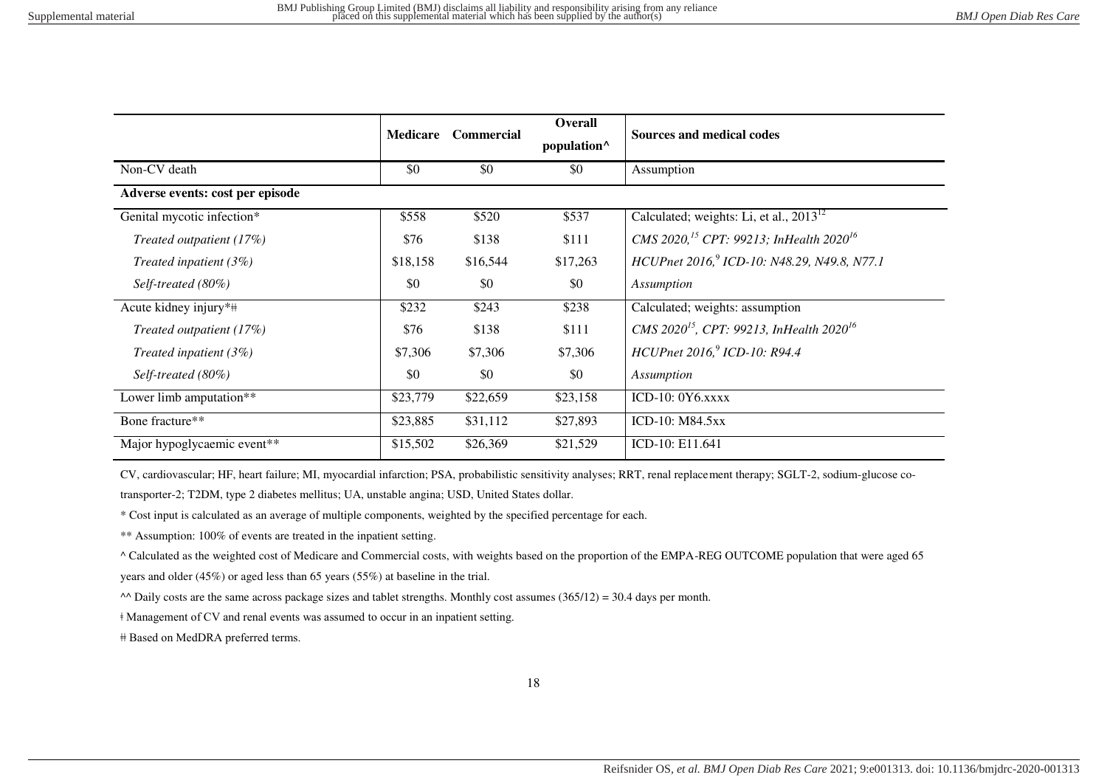|                                  | <b>Medicare</b> | <b>Commercial</b> | <b>Overall</b><br>population <sup>^</sup> | <b>Sources and medical codes</b>                                 |
|----------------------------------|-----------------|-------------------|-------------------------------------------|------------------------------------------------------------------|
| Non-CV death                     | \$0             | \$0               | \$0                                       | Assumption                                                       |
| Adverse events: cost per episode |                 |                   |                                           |                                                                  |
| Genital mycotic infection*       | \$558           | \$520             | \$537                                     | Calculated; weights: Li, et al., $2013^{12}$                     |
| Treated outpatient (17%)         | \$76            | \$138             | \$111                                     | CMS 2020, <sup>15</sup> CPT: 99213; InHealth 2020 <sup>16</sup>  |
| Treated inpatient $(3\%)$        | \$18,158        | \$16,544          | \$17,263                                  | HCUPnet 2016, <sup>9</sup> ICD-10: N48.29, N49.8, N77.1          |
| Self-treated (80%)               | \$0             | \$0               | \$0                                       | Assumption                                                       |
| Acute kidney injury*#            | \$232           | \$243             | \$238                                     | Calculated; weights: assumption                                  |
| Treated outpatient (17%)         | \$76            | \$138             | \$111                                     | CMS 2020 <sup>15</sup> , CPT: 99213, InHealth 2020 <sup>16</sup> |
| Treated inpatient $(3\%)$        | \$7,306         | \$7,306           | \$7,306                                   | HCUPnet 2016, <sup>9</sup> ICD-10: R94.4                         |
| Self-treated (80%)               | \$0             | \$0               | \$0                                       | Assumption                                                       |
| Lower limb amputation**          | \$23,779        | \$22,659          | \$23,158                                  | ICD-10: $0Y6.xxxx$                                               |
| Bone fracture**                  | \$23,885        | \$31,112          | \$27,893                                  | <b>ICD-10: M84.5xx</b>                                           |
| Major hypoglycaemic event**      | \$15,502        | \$26,369          | \$21,529                                  | ICD-10: E11.641                                                  |

CV, cardiovascular; HF, heart failure; MI, myocardial infarction; PSA, probabilistic sensitivity analyses; RRT, renal replacement therapy; SGLT-2, sodium-glucose co-

transporter-2; T2DM, type 2 diabetes mellitus; UA, unstable angina; USD, United States dollar.

\* Cost input is calculated as an average of multiple components, weighted by the specified percentage for each.

\*\* Assumption: 100% of events are treated in the inpatient setting.

^ Calculated as the weighted cost of Medicare and Commercial costs, with weights based on the proportion of the EMPA-REG OUTCOME population that were aged 65

years and older (45%) or aged less than 65 years (55%) at baseline in the trial.

 $\triangle$  Daily costs are the same across package sizes and tablet strengths. Monthly cost assumes (365/12) = 30.4 days per month.

ǂ Management of CV and renal events was assumed to occur in an inpatient setting.

ǂǂ Based on MedDRA preferred terms.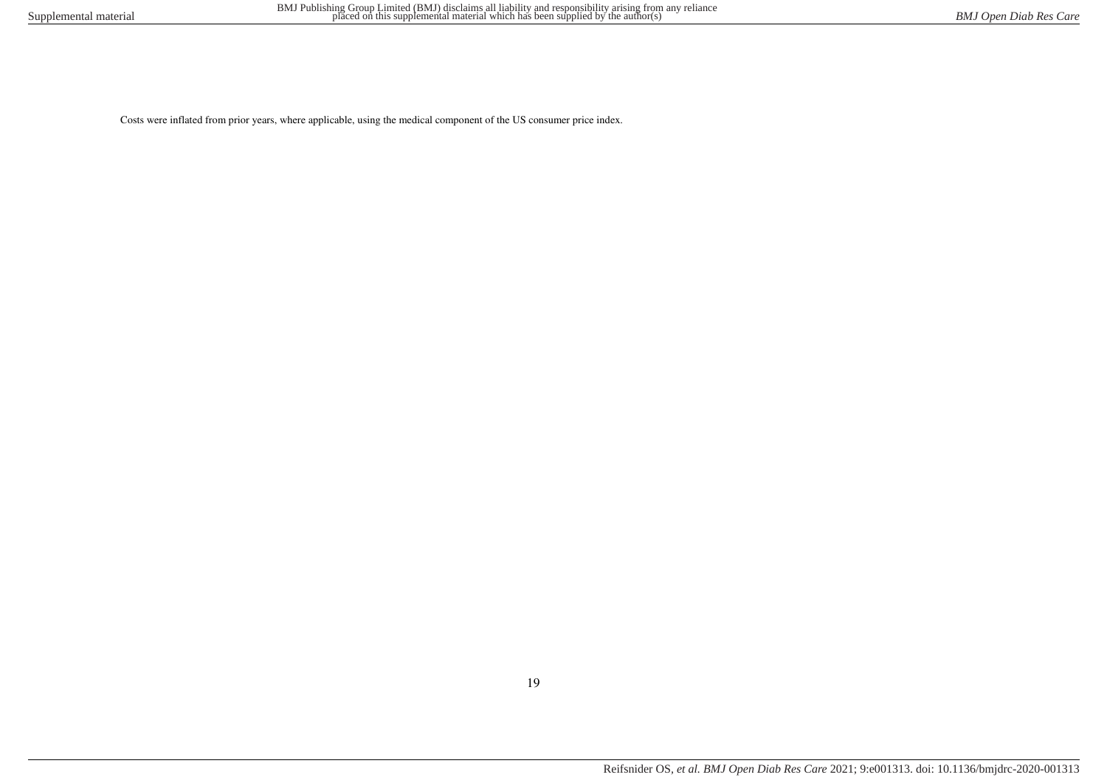Costs were inflated from prior years, where applicable, using the medical component of the US consumer price index.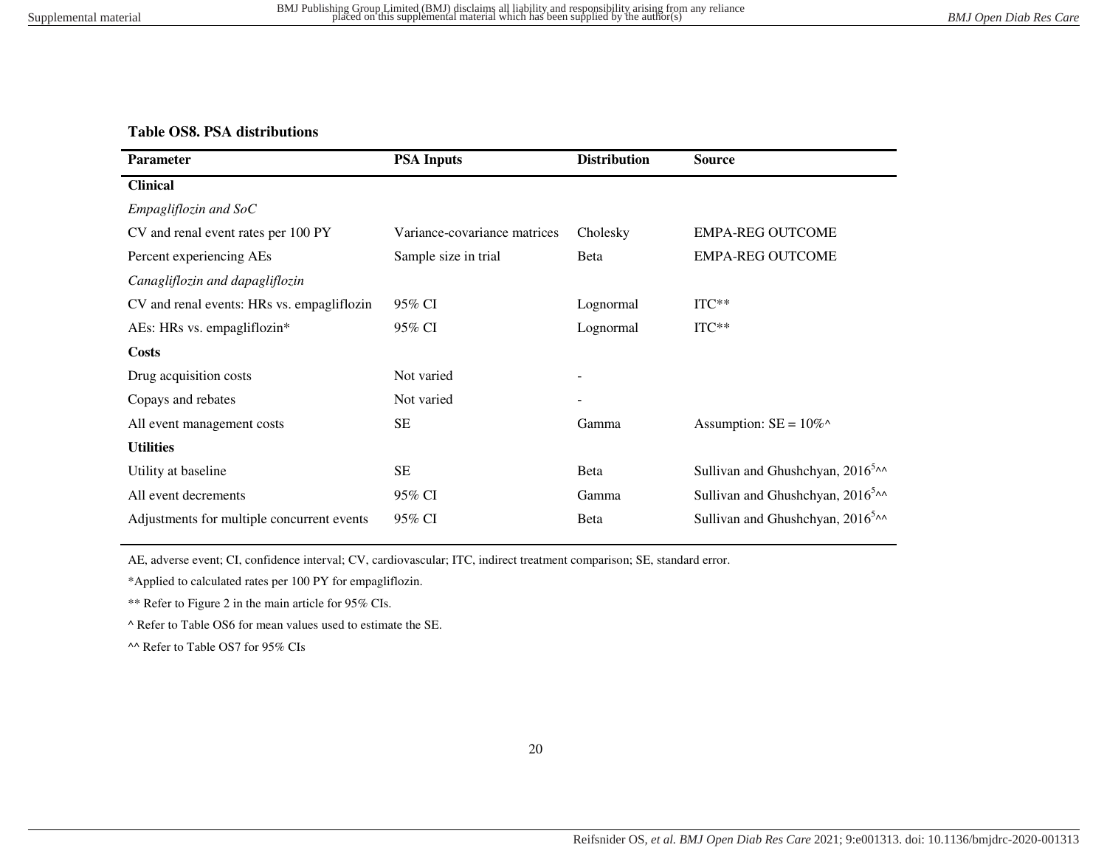### **Table OS8. PSA distributions**

| Parameter                                  | <b>PSA Inputs</b>            | <b>Distribution</b> | <b>Source</b>                              |
|--------------------------------------------|------------------------------|---------------------|--------------------------------------------|
| <b>Clinical</b>                            |                              |                     |                                            |
| $Empagliflozin$ and $SoC$                  |                              |                     |                                            |
| CV and renal event rates per 100 PY        | Variance-covariance matrices | Cholesky            | <b>EMPA-REG OUTCOME</b>                    |
| Percent experiencing AEs                   | Sample size in trial         | Beta                | <b>EMPA-REG OUTCOME</b>                    |
| Canagliflozin and dapagliflozin            |                              |                     |                                            |
| CV and renal events: HRs vs. empagliflozin | 95% CI                       | Lognormal           | $ITC**$                                    |
| AEs: HRs vs. empagliflozin*                | 95% CI                       | Lognormal           | $ITC**$                                    |
| <b>Costs</b>                               |                              |                     |                                            |
| Drug acquisition costs                     | Not varied                   |                     |                                            |
| Copays and rebates                         | Not varied                   |                     |                                            |
| All event management costs                 | SE                           | Gamma               | Assumption: $SE = 10\%^{\wedge}$           |
| <b>Utilities</b>                           |                              |                     |                                            |
| Utility at baseline                        | <b>SE</b>                    | Beta                | Sullivan and Ghushchyan, $2016^{5} \wedge$ |
| All event decrements                       | 95% CI                       | Gamma               | Sullivan and Ghushchyan, $2016^{5} \sim$   |
| Adjustments for multiple concurrent events | 95% CI                       | Beta                | Sullivan and Ghushchyan, $2016^{5} \sim$   |

<span id="page-19-0"></span>AE, adverse event; CI, confidence interval; CV, cardiovascular; ITC, indirect treatment comparison; SE, standard error.

\*Applied to calculated rates per 100 PY for empagliflozin.

\*\* Refer to Figure 2 in the main article for 95% CIs.

^ Refer to Table OS6 for mean values used to estimate the SE.

^^ Refer to Table OS7 for 95% CIs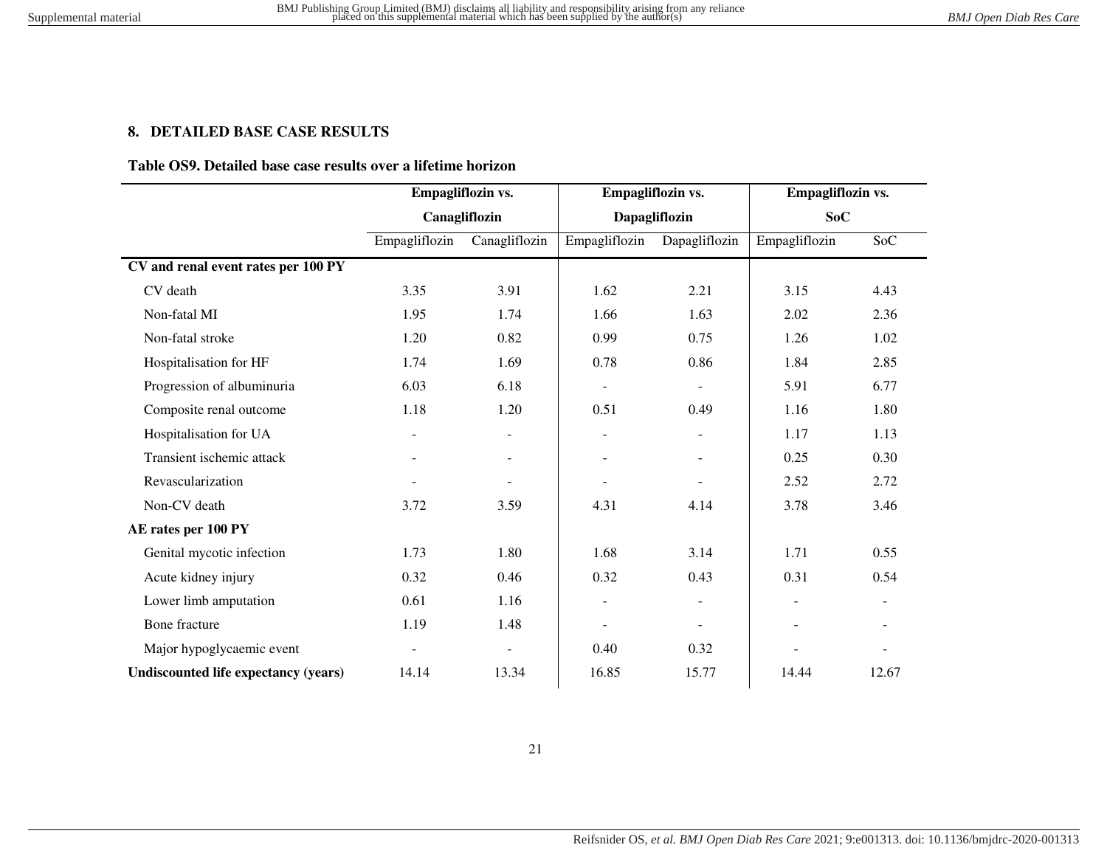## **8. DETAILED BASE CASE RESULTS**

### **Table OS9. Detailed base case results over a lifetime horizon**

<span id="page-20-1"></span><span id="page-20-0"></span>

|                                             | Empagliflozin vs.<br>Canagliflozin |                          | Empagliflozin vs.<br>Dapagliflozin |                          | Empagliflozin vs.<br><b>SoC</b> |                          |
|---------------------------------------------|------------------------------------|--------------------------|------------------------------------|--------------------------|---------------------------------|--------------------------|
|                                             |                                    |                          |                                    |                          |                                 |                          |
|                                             | Empagliflozin                      | Canagliflozin            | Empagliflozin                      | Dapagliflozin            | Empagliflozin                   | SoC                      |
| CV and renal event rates per 100 PY         |                                    |                          |                                    |                          |                                 |                          |
| CV death                                    | 3.35                               | 3.91                     | 1.62                               | 2.21                     | 3.15                            | 4.43                     |
| Non-fatal MI                                | 1.95                               | 1.74                     | 1.66                               | 1.63                     | 2.02                            | 2.36                     |
| Non-fatal stroke                            | 1.20                               | 0.82                     | 0.99                               | 0.75                     | 1.26                            | 1.02                     |
| Hospitalisation for HF                      | 1.74                               | 1.69                     | 0.78                               | 0.86                     | 1.84                            | 2.85                     |
| Progression of albuminuria                  | 6.03                               | 6.18                     | $\overline{\phantom{a}}$           |                          | 5.91                            | 6.77                     |
| Composite renal outcome                     | 1.18                               | 1.20                     | 0.51                               | 0.49                     | 1.16                            | 1.80                     |
| Hospitalisation for UA                      | $\blacksquare$                     | $\blacksquare$           | $\blacksquare$                     | $\overline{\phantom{a}}$ | 1.17                            | 1.13                     |
| Transient ischemic attack                   |                                    | $\overline{\phantom{a}}$ |                                    | $\overline{\phantom{a}}$ | 0.25                            | 0.30                     |
| Revascularization                           |                                    |                          |                                    |                          | 2.52                            | 2.72                     |
| Non-CV death                                | 3.72                               | 3.59                     | 4.31                               | 4.14                     | 3.78                            | 3.46                     |
| AE rates per 100 PY                         |                                    |                          |                                    |                          |                                 |                          |
| Genital mycotic infection                   | 1.73                               | 1.80                     | 1.68                               | 3.14                     | 1.71                            | 0.55                     |
| Acute kidney injury                         | 0.32                               | 0.46                     | 0.32                               | 0.43                     | 0.31                            | 0.54                     |
| Lower limb amputation                       | 0.61                               | 1.16                     | $\overline{\phantom{a}}$           |                          | $\overline{\phantom{a}}$        |                          |
| Bone fracture                               | 1.19                               | 1.48                     | $\overline{\phantom{a}}$           | $\overline{\phantom{a}}$ | $\overline{\phantom{a}}$        | $\blacksquare$           |
| Major hypoglycaemic event                   | $\overline{a}$                     | $\overline{\phantom{a}}$ | 0.40                               | 0.32                     | ÷                               | $\overline{\phantom{a}}$ |
| <b>Undiscounted life expectancy (years)</b> | 14.14                              | 13.34                    | 16.85                              | 15.77                    | 14.44                           | 12.67                    |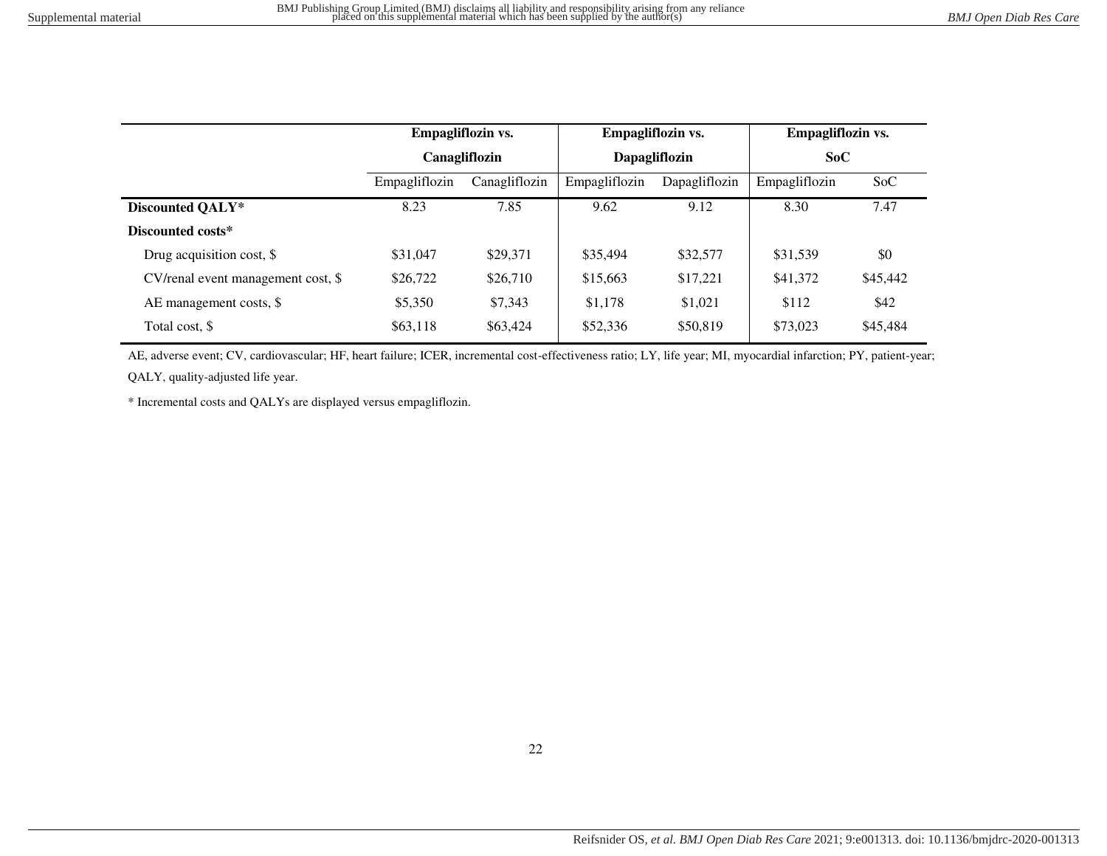|                                    | Empagliflozin vs.<br>Canagliflozin |               | Empagliflozin vs.<br>Dapagliflozin |               | Empagliflozin vs.<br>SoC |          |
|------------------------------------|------------------------------------|---------------|------------------------------------|---------------|--------------------------|----------|
|                                    |                                    |               |                                    |               |                          |          |
|                                    | Empagliflozin                      | Canagliflozin | Empagliflozin                      | Dapagliflozin | Empagliflozin            | SoC      |
| Discounted QALY*                   | 8.23                               | 7.85          | 9.62                               | 9.12          | 8.30                     | 7.47     |
| Discounted costs*                  |                                    |               |                                    |               |                          |          |
| Drug acquisition cost, \$          | \$31,047                           | \$29,371      | \$35,494                           | \$32,577      | \$31,539                 | \$0      |
| CV/renal event management cost, \$ | \$26,722                           | \$26,710      | \$15,663                           | \$17,221      | \$41,372                 | \$45,442 |
| AE management costs, \$            | \$5,350                            | \$7,343       | \$1,178                            | \$1,021       | \$112                    | \$42     |
| Total cost, \$                     | \$63,118                           | \$63,424      | \$52,336                           | \$50,819      | \$73,023                 | \$45,484 |

AE, adverse event; CV, cardiovascular; HF, heart failure; ICER, incremental cost-effectiveness ratio; LY, life year; MI, myocardial infarction; PY, patient-year; QALY, quality-adjusted life year.

\* Incremental costs and QALYs are displayed versus empagliflozin.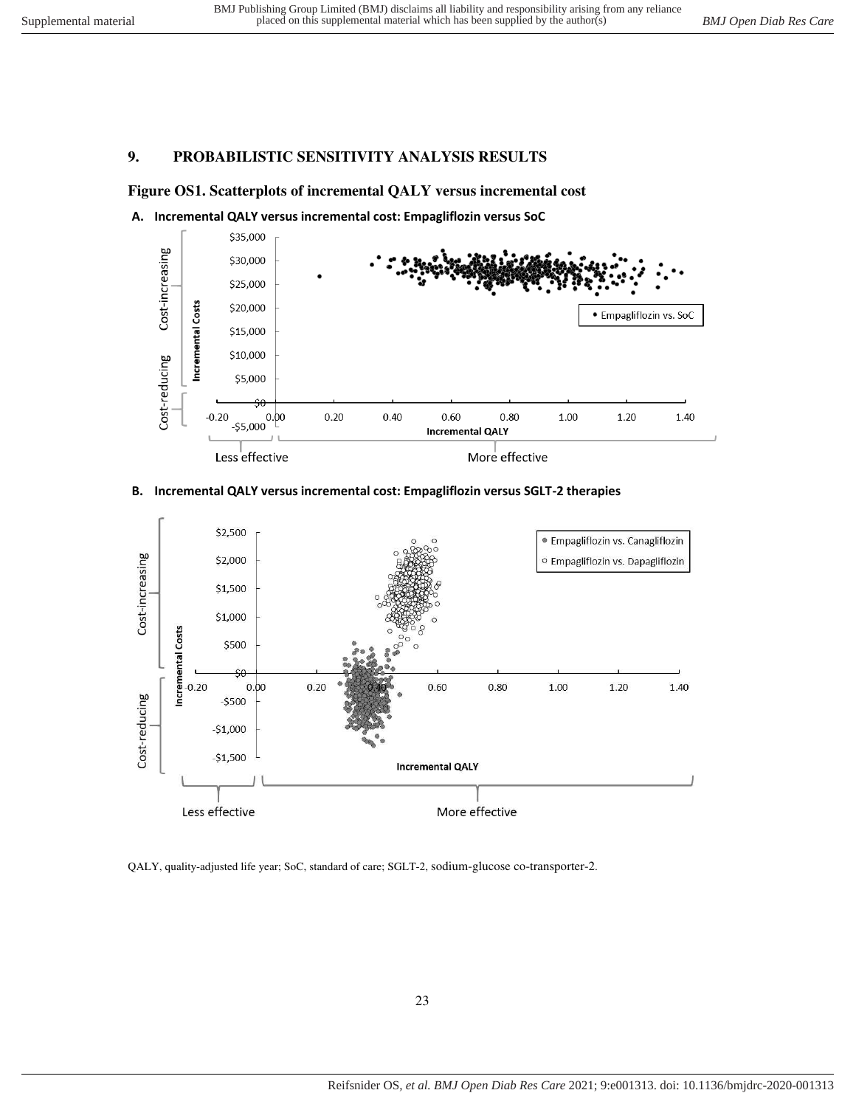## **9. PROBABILISTIC SENSITIVITY ANALYSIS RESULTS**

## <span id="page-22-0"></span>**Figure OS1. Scatterplots of incremental QALY versus incremental cost**

<span id="page-22-1"></span>



## **B. Incremental QALY versus incremental cost: Empagliflozin versus SGLT-2 therapies**



QALY, quality-adjusted life year; SoC, standard of care; SGLT-2, sodium-glucose co-transporter-2.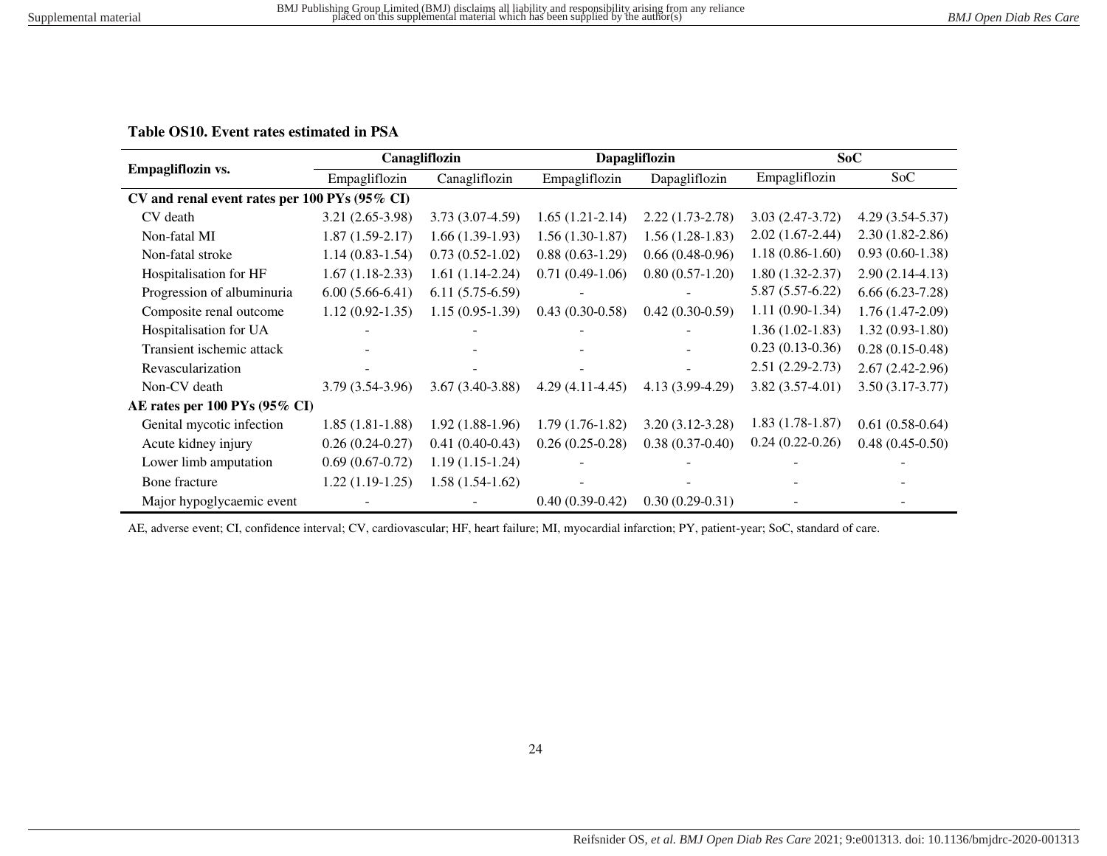## **Table OS10. Event rates estimated in PSA**

|                                               | Canagliflozin     |                                |                   | Dapagliflozin     | SoC                 |                     |  |
|-----------------------------------------------|-------------------|--------------------------------|-------------------|-------------------|---------------------|---------------------|--|
| Empagliflozin vs.                             | Empagliflozin     | Canagliflozin<br>Empagliflozin |                   | Dapagliflozin     | Empagliflozin       | SoC                 |  |
| CV and renal event rates per 100 PYs (95% CI) |                   |                                |                   |                   |                     |                     |  |
| CV death                                      | $3.21(2.65-3.98)$ | $3.73(3.07-4.59)$              | $1.65(1.21-2.14)$ | $2.22(1.73-2.78)$ | $3.03(2.47-3.72)$   | $4.29(3.54 - 5.37)$ |  |
| Non-fatal MI                                  | $1.87(1.59-2.17)$ | $1.66(1.39-1.93)$              | $1.56(1.30-1.87)$ | $1.56(1.28-1.83)$ | $2.02(1.67-2.44)$   | $2.30(1.82 - 2.86)$ |  |
| Non-fatal stroke                              | $1.14(0.83-1.54)$ | $0.73(0.52-1.02)$              | $0.88(0.63-1.29)$ | $0.66(0.48-0.96)$ | $1.18(0.86-1.60)$   | $0.93(0.60-1.38)$   |  |
| Hospitalisation for HF                        | $1.67(1.18-2.33)$ | $1.61(1.14-2.24)$              | $0.71(0.49-1.06)$ | $0.80(0.57-1.20)$ | $1.80(1.32 - 2.37)$ | $2.90(2.14-4.13)$   |  |
| Progression of albuminuria                    | $6.00(5.66-6.41)$ | $6.11(5.75-6.59)$              |                   |                   | $5.87(5.57-6.22)$   | $6.66(6.23-7.28)$   |  |
| Composite renal outcome                       | $1.12(0.92-1.35)$ | $1.15(0.95-1.39)$              | $0.43(0.30-0.58)$ | $0.42(0.30-0.59)$ | $1.11(0.90-1.34)$   | $1.76(1.47-2.09)$   |  |
| Hospitalisation for UA                        |                   |                                |                   |                   | $1.36(1.02-1.83)$   | $1.32(0.93-1.80)$   |  |
| Transient ischemic attack                     |                   |                                |                   |                   | $0.23(0.13-0.36)$   | $0.28(0.15-0.48)$   |  |
| Revascularization                             |                   |                                |                   |                   | $2.51(2.29-2.73)$   | $2.67(2.42 - 2.96)$ |  |
| Non-CV death                                  | $3.79(3.54-3.96)$ | $3.67(3.40-3.88)$              | $4.29(4.11-4.45)$ | 4.13 (3.99-4.29)  | $3.82(3.57-4.01)$   | $3.50(3.17-3.77)$   |  |
| AE rates per 100 PYs (95% CI)                 |                   |                                |                   |                   |                     |                     |  |
| Genital mycotic infection                     | $1.85(1.81-1.88)$ | $1.92(1.88-1.96)$              | $1.79(1.76-1.82)$ | $3.20(3.12-3.28)$ | $1.83(1.78-1.87)$   | $0.61(0.58-0.64)$   |  |
| Acute kidney injury                           | $0.26(0.24-0.27)$ | $0.41(0.40-0.43)$              | $0.26(0.25-0.28)$ | $0.38(0.37-0.40)$ | $0.24(0.22-0.26)$   | $0.48(0.45-0.50)$   |  |
| Lower limb amputation                         | $0.69(0.67-0.72)$ | $1.19(1.15-1.24)$              |                   |                   |                     |                     |  |
| Bone fracture                                 | $1.22(1.19-1.25)$ | $1.58(1.54-1.62)$              |                   |                   |                     |                     |  |
| Major hypoglycaemic event                     |                   |                                | $0.40(0.39-0.42)$ | $0.30(0.29-0.31)$ |                     |                     |  |

<span id="page-23-0"></span>AE, adverse event; CI, confidence interval; CV, cardiovascular; HF, heart failure; MI, myocardial infarction; PY, patient-year; SoC, standard of care.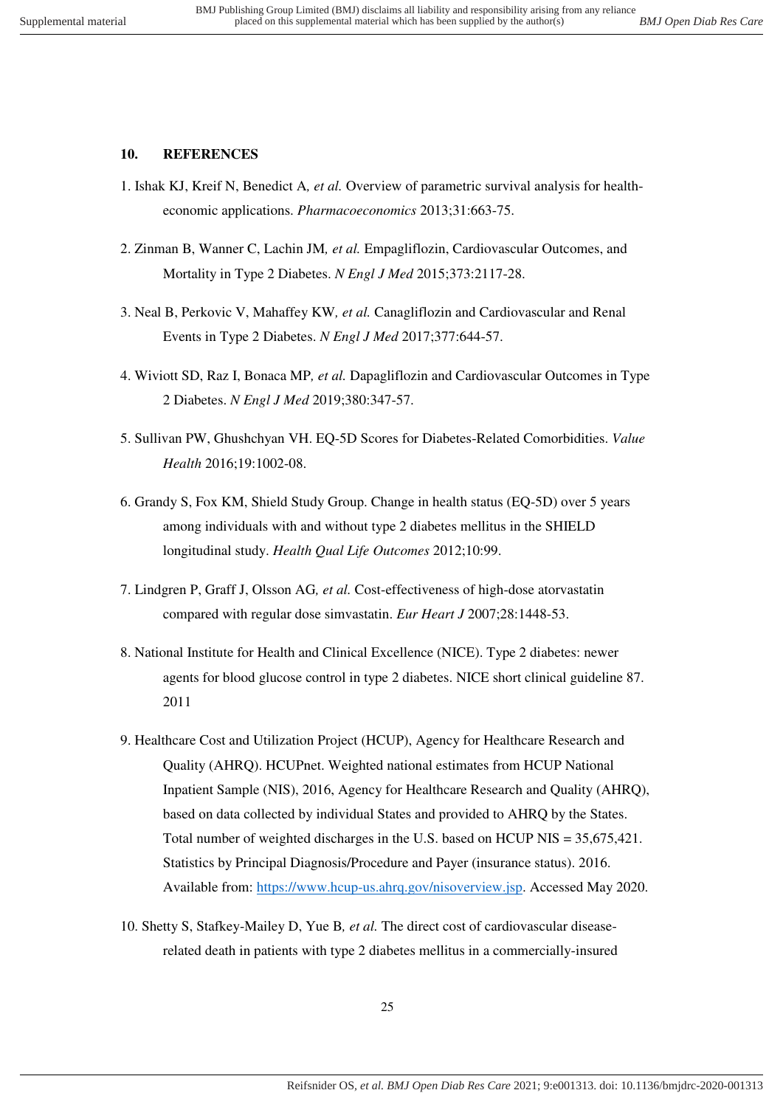### <span id="page-24-13"></span><span id="page-24-1"></span><span id="page-24-0"></span>**10. REFERENCES**

- <span id="page-24-2"></span>1. Ishak KJ, Kreif N, Benedict A*, et al.* Overview of parametric survival analysis for healtheconomic applications. *Pharmacoeconomics* 2013;31:663-75.
- <span id="page-24-3"></span>2. Zinman B, Wanner C, Lachin JM*, et al.* Empagliflozin, Cardiovascular Outcomes, and Mortality in Type 2 Diabetes. *N Engl J Med* 2015;373:2117-28.
- 3. Neal B, Perkovic V, Mahaffey KW*, et al.* Canagliflozin and Cardiovascular and Renal Events in Type 2 Diabetes. *N Engl J Med* 2017;377:644-57.
- <span id="page-24-4"></span>4. Wiviott SD, Raz I, Bonaca MP*, et al.* Dapagliflozin and Cardiovascular Outcomes in Type 2 Diabetes. *N Engl J Med* 2019;380:347-57.
- <span id="page-24-12"></span><span id="page-24-5"></span>5. Sullivan PW, Ghushchyan VH. EQ-5D Scores for Diabetes-Related Comorbidities. *Value Health* 2016;19:1002-08.
- <span id="page-24-6"></span>6. Grandy S, Fox KM, Shield Study Group. Change in health status (EQ-5D) over 5 years among individuals with and without type 2 diabetes mellitus in the SHIELD longitudinal study. *Health Qual Life Outcomes* 2012;10:99.
- <span id="page-24-7"></span>7. Lindgren P, Graff J, Olsson AG*, et al.* Cost-effectiveness of high-dose atorvastatin compared with regular dose simvastatin. *Eur Heart J* 2007;28:1448-53.
- <span id="page-24-11"></span><span id="page-24-8"></span>8. National Institute for Health and Clinical Excellence (NICE). Type 2 diabetes: newer agents for blood glucose control in type 2 diabetes. NICE short clinical guideline 87. 2011
- <span id="page-24-9"></span>9. Healthcare Cost and Utilization Project (HCUP), Agency for Healthcare Research and Quality (AHRQ). HCUPnet. Weighted national estimates from HCUP National Inpatient Sample (NIS), 2016, Agency for Healthcare Research and Quality (AHRQ), based on data collected by individual States and provided to AHRQ by the States. Total number of weighted discharges in the U.S. based on HCUP NIS = 35,675,421. Statistics by Principal Diagnosis/Procedure and Payer (insurance status). 2016. Available from: [https://www.hcup-us.ahrq.gov/nisoverview.jsp.](https://www.hcup-us.ahrq.gov/nisoverview.jsp) Accessed May 2020.
- <span id="page-24-10"></span>10. Shetty S, Stafkey-Mailey D, Yue B*, et al.* The direct cost of cardiovascular diseaserelated death in patients with type 2 diabetes mellitus in a commercially-insured